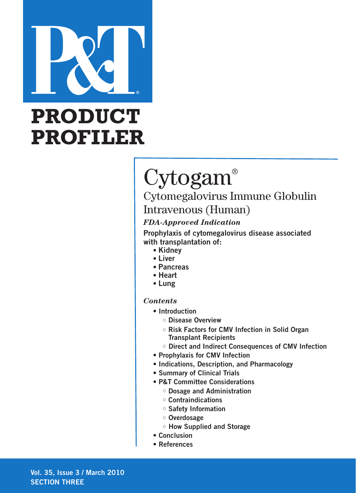

# **PRODUCT PROFILER**

# Cytogam®

# Cytomegalovirus Immune Globulin Intravenous (Human)

# *FDA-Approved Indication*

**Prophylaxis of cytomegalovirus disease associated with transplantation of:**

- **• Kidney**
- **• Liver**
- **• Pancreas**
- **• Heart**
- **• Lung**

# *Contents*

- **Introduction**
	- **• Disease Overview**
	- **• Risk Factors for CMV Infection in Solid Organ Transplant Recipients**
	- **Direct and Indirect Consequences of CMV Infection**
- **Prophylaxis for CMV Infection**
- **Indications, Description, and Pharmacology**
- **Summary of Clinical Trials**
- **P&T Committee Considerations**
	- **• Dosage and Administration**
	- **• Contraindications**
	- **• Safety Information**
	- **Overdosage**
	- **How Supplied and Storage**
- **Conclusion**
- **References**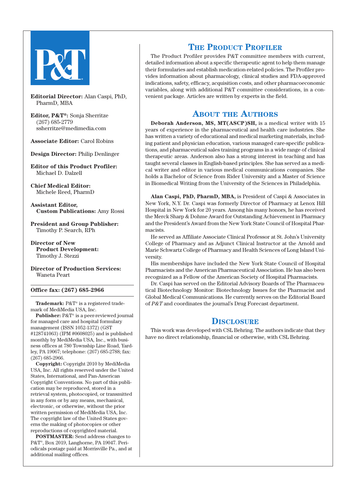

**Editorial Director:** Alan Caspi, PhD, PharmD, MBA

**Editor, P&T®:** Sonja Sherritze (267) 685-2779 ssherritze@medimedia.com

**Associate Editor:** Carol Robins

**Design Director:** Philip Denlinger

**Editor of this Product Profiler:** Michael D. Dalzell

**Chief Medical Editor:** Michele Reed, PharmD

**Assistant Editor, Custom Publications:** Amy Rossi

**President and Group Publisher:**  Timothy P. Search, RPh

**Director of New Product Development:**  Timothy J. Stezzi

**Director of Production Services:**  Waneta Peart

**Office fax: (267) 685-2966**

**Trademark:** P&T® is a registered trademark of MediMedia USA, Inc.

**Publisher:** P&T® is a peer-reviewed journal for managed care and hospital formulary management (ISSN 1052-1372) (GST #128741063) (IPM #0608025) and is published monthly by MediMedia USA, Inc., with business offices at 780 Township Line Road, Yardley, PA 19067; telephone: (267) 685-2788; fax: (267) 685-2966.

**Copyright:** Copyright 2010 by MediMedia USA, Inc. All rights reserved under the United States, International, and Pan-American Copyright Conventions. No part of this publication may be reproduced, stored in a retrieval system, photocopied, or transmitted in any form or by any means, mechanical, electronic, or otherwise, without the prior written permission of MediMedia USA, Inc. The copyright law of the United States governs the making of photocopies or other reproductions of copyrighted material.

**POSTMASTER:** Send address changes to P&T®, Box 2019, Langhorne, PA 19047. Periodicals postage paid at Morrisville Pa., and at additional mailing offices.

# **THE PRODUCT PROFILER**

The Product Profiler provides P&T committee members with current, detailed information about a specific therapeutic agent to help them manage their formularies and establish medication-related policies. The Profiler provides information about pharmacology, clinical studies and FDA-approved indications, safety, efficacy, acquisition costs, and other pharmacoeconomic variables, along with additional P&T committee considerations, in a convenient package. Articles are written by experts in the field.

# **ABOUT THE AUTHORS**

**Deborah Anderson, MS, MT(ASCP)SH,** is a medical writer with 15 years of experience in the pharmaceutical and health care industries. She has written a variety of educational and medical marketing materials, including patient and physician education, various managed care-specific publications, and pharmaceutical sales training programs in a wide range of clinical therapeutic areas. Anderson also has a strong interest in teaching and has taught several classes in English-based principles. She has served as a medical writer and editor in various medical communications companies. She holds a Bachelor of Science from Rider University and a Master of Science in Biomedical Writing from the University of the Sciences in Philadelphia.

**Alan Caspi, PhD, PharmD, MBA,** is President of Caspi & Associates in New York, N.Y. Dr. Caspi was formerly Director of Pharmacy at Lenox Hill Hospital in New York for 20 years. Among his many honors, he has received the Merck Sharp & Dohme Award for Outstanding Achievement in Pharmacy and the President's Award from the New York State Council of Hospital Pharmacists.

He served as Affiliate Associate Clinical Professor at St. John's University College of Pharmacy and as Adjunct Clinical Instructor at the Arnold and Marie Schwartz College of Pharmacy and Health Sciences of Long Island University.

His memberships have included the New York State Council of Hospital Pharmacists and the American Pharmaceutical Association. He has also been recognized as a Fellow of the American Society of Hospital Pharmacists.

Dr. Caspi has served on the Editorial Advisory Boards of The Pharmaceutical Biotechnology Monitor: Biotechnology Issues for the Pharmacist and Global Medical Communications. He currently serves on the Editorial Board of *P&T* and coordinates the journal's Drug Forecast department.

# **DISCLOSURE**

This work was developed with CSL Behring. The authors indicate that they have no direct relationship, financial or otherwise, with CSL Behring.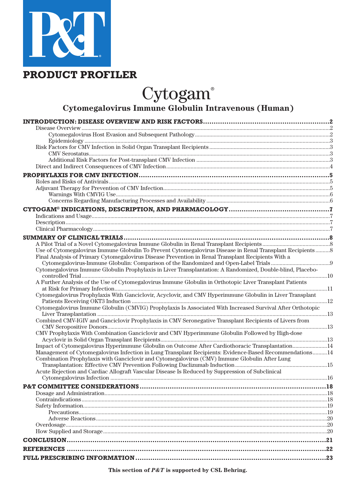

# **PRODUCT PROFILER**

Cytogam®

# **Cytomegalovirus Immune Globulin Intravenous (Human)**

| Use of Cytomegalovirus Immune Globulin To Prevent Cytomegalovirus Disease in Renal Transplant Recipients8  |  |
|------------------------------------------------------------------------------------------------------------|--|
| Final Analysis of Primary Cytomegalovirus Disease Prevention in Renal Transplant Recipients With a         |  |
|                                                                                                            |  |
| Cytomegalovirus Immune Globulin Prophylaxis in Liver Transplantation: A Randomized, Double-blind, Placebo- |  |
| A Further Analysis of the Use of Cytomegalovirus Immune Globulin in Orthotopic Liver Transplant Patients   |  |
|                                                                                                            |  |
| Cytomegalovirus Prophylaxis With Ganciclovir, Acyclovir, and CMV Hyperimmune Globulin in Liver Transplant  |  |
|                                                                                                            |  |
| Cytomegalovirus Immune Globulin (CMVIG) Prophylaxis Is Associated With Increased Survival After Orthotopic |  |
| Combined CMV-IGIV and Ganciclovir Prophylaxis in CMV Seronegative Transplant Recipients of Livers from     |  |
|                                                                                                            |  |
| CMV Prophylaxis With Combination Ganciclovir and CMV Hyperimmune Globulin Followed by High-dose            |  |
|                                                                                                            |  |
| Impact of Cytomegalovirus Hyperimmune Globulin on Outcome After Cardiothoracic Transplantation14           |  |
| Management of Cytomegalovirus Infection in Lung Transplant Recipients: Evidence-Based Recommendations14    |  |
| Combination Prophylaxis with Ganciclovir and Cytomegalovirus (CMV) Immune Globulin After Lung              |  |
| Acute Rejection and Cardiac Allograft Vascular Disease Is Reduced by Suppression of Subclinical            |  |
|                                                                                                            |  |
|                                                                                                            |  |
|                                                                                                            |  |
|                                                                                                            |  |
|                                                                                                            |  |
|                                                                                                            |  |
|                                                                                                            |  |
|                                                                                                            |  |
|                                                                                                            |  |
|                                                                                                            |  |
|                                                                                                            |  |
|                                                                                                            |  |
|                                                                                                            |  |

**This section of** *P&T* **is supported by CSL Behring.**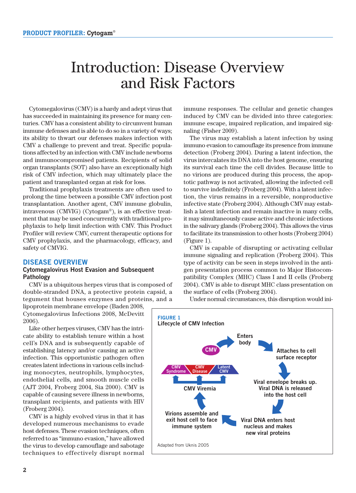# Introduction: Disease Overview and Risk Factors

Cytomegalovirus (CMV) is a hardy and adept virus that has succeeded in maintaining its presence for many centuries. CMV has a consistent ability to circumvent human immune defenses and is able to do so in a variety of ways; its ability to thwart our defenses makes infection with CMV a challenge to prevent and treat. Specific populations affected by an infection with CMV include newborns and immunocompromised patients. Recipients of solid organ transplants (SOT) also have an exceptionally high risk of CMV infection, which may ultimately place the patient and transplanted organ at risk for loss.

Traditional prophylaxis treatments are often used to prolong the time between a possible CMV infection post transplantation. Another agent, CMV immune globulin, intravenous (CMVIG) (Cytogam®), is an effective treatment that may be used concurrently with traditional prophylaxis to help limit infection with CMV. This Product Profiler will review CMV, current therapeutic options for CMV prophylaxis, and the pharmacology, efficacy, and safety of CMVIG.

### **DISEASE OVERVIEW**

#### **Cytomegalovirus Host Evasion and Subsequent Pathology**

CMV is a ubiquitous herpes virus that is composed of double-stranded DNA, a protective protein capsid, a tegument that houses enzymes and proteins, and a

lipoprotein membrane envelope (Baden 2008, Cytomegalovirus Infections 2008, McDevitt 2006).

Like other herpes viruses, CMV has the intricate ability to establish tenure within a host cell's DNA and is subsequently capable of establishing latency and/or causing an active infection. This opportunistic pathogen often creates latent infections in various cells including monocytes, neutrophils, lymphocytes, endothelial cells, and smooth muscle cells (AJT 2004, Froberg 2004, Sia 2000). CMV is capable of causing severe illness in newborns, transplant recipients, and patients with HIV (Froberg 2004).

CMV is a highly evolved virus in that it has developed numerous mechanisms to evade host defenses. These evasion techniques, often referred to as "immuno evasion," have allowed the virus to develop camouflage and sabotage techniques to effectively disrupt normal immune responses. The cellular and genetic changes induced by CMV can be divided into three categories: immune escape, impaired replication, and impaired signaling (Fisher 2009).

The virus may establish a latent infection by using immuno evasion to camouflage its presence from immune detection (Froberg 2004). During a latent infection, the virus intercalates its DNA into the host genome, ensuring its survival each time the cell divides. Because little to no virions are produced during this process, the apoptotic pathway is not activated, allowing the infected cell to survive indefinitely (Froberg 2004). With a latent infection, the virus remains in a reversible, nonproductive infective state (Froberg 2004). Although CMV may establish a latent infection and remain inactive in many cells, it may simultaneously cause active and chronic infections in the salivary glands (Froberg 2004). This allows the virus to facilitate its transmission to other hosts (Froberg 2004) (Figure 1).

CMV is capable of disrupting or activating cellular immune signaling and replication (Froberg 2004). This type of activity can be seen in steps involved in the antigen presentation process common to Major Histocompatibility Complex (MHC) Class I and II cells (Froberg 2004). CMV is able to disrupt MHC class presentation on the surface of cells (Froberg 2004).

Under normal circumstances, this disruption would ini-

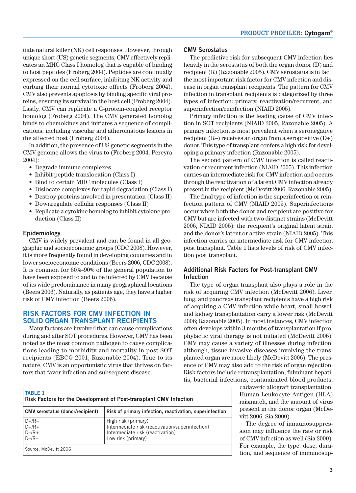tiate natural killer (NK) cell responses. However, through unique short (US) genetic segments, CMV effectively replicates an MHC Class I homolog that is capable of binding to host peptides (Froberg 2004). Peptides are continually expressed on the cell surface, inhibiting NK activity and curbing their normal cytotoxic effects (Froberg 2004). CMV also prevents apoptosis by binding specific viral proteins, ensuring its survival in the host cell (Froberg 2004). Lastly, CMV can replicate a G-protein-coupled receptor homolog (Froberg 2004). The CMV generated homolog binds to chemokines and initiates a sequence of complications, including vascular and atheromatous lesions in the affected host (Froberg 2004).

In addition, the presence of US genetic segments in the CMV genome allows the virus to (Froberg 2004, Pereyra 2004):

- Degrade immune complexes
- Inhibit peptide translocation (Class I)
- Bind to certain MHC molecules (Class I)
- Dislocate complexes for rapid degradation (Class I)
- Destroy proteins involved in presentation (Class II)
- Downregulate cellular responses (Class II)
- Replicate a cytokine homolog to inhibit cytokine production (Class II)

#### **Epidemiology**

CMV is widely prevalent and can be found in all geographic and socioeconomic groups (CDC 2008). However, it is more frequently found in developing countries and in lower socioeconomic conditions (Beers 2006, CDC 2008). It is common for 60%–90% of the general population to have been exposed to and to be infected by CMV because of its wide predominance in many geographical locations (Beers 2006). Naturally, as patients age, they have a higher risk of CMV infection (Beers 2006).

# **RISK FACTORS FOR CMV INFECTION IN SOLID ORGAN TRANSPLANT RECIPIENTS**

Many factors are involved that can cause complications during and after SOT procedures. However, CMV has been noted as the most common pathogen to cause complications leading to morbidity and mortality in post-SOT recipients (EBCG 2001, Razonable 2004). True to its nature, CMV is an opportunistic virus that thrives on factors that favor infection and subsequent disease.

### **CMV Serostatus**

The predictive risk for subsequent CMV infection lies heavily in the serostatus of both the organ donor (D) and recipient (R) (Razonable 2005). CMV serostatus is in fact, the most important risk factor for CMV infection and disease in organ transplant recipients. The pattern for CMV infection in transplant recipients is categorized by three types of infection: primary, reactivation/recurrent, and superinfection/reinfection (NIAID 2005).

Primary infection is the leading cause of CMV infection in SOT recipients (NIAID 2005, Razonable 2005). A primary infection is most prevalent when a seronegative recipient  $(R-)$  receives an organ from a seropositive  $(D+)$ donor. This type of transplant confers a high risk for developing a primary infection (Razonable 2005).

The second pattern of CMV infection is called reactivation or recurrent infection (NIAID 2005). This infection carries an intermediate risk for CMV infection and occurs through the reactivation of a latent CMV infection already present in the recipient (McDevitt 2006, Razonable 2005).

The final type of infection is the superinfection or reinfection pattern of CMV (NIAID 2005). Superinfections occur when both the donor and recipient are positive for CMV but are infected with two distinct strains (McDevitt 2006, NIAID 2005): the recipient's original latent strain and the donor's latent or active strain (NIAID 2005). This infection carries an intermediate risk for CMV infection post transplant. Table 1 lists levels of risk of CMV infection post transplant.

### **Additional Risk Factors for Post-transplant CMV Infection**

The type of organ transplant also plays a role in the risk of acquiring CMV infection (McDevitt 2006). Liver, lung, and pancreas transplant recipients have a high risk of acquiring a CMV infection while heart, small bowel, and kidney transplantation carry a lower risk (McDevitt 2006; Razonable 2005). In most instances, CMV infection often develops within 3 months of transplantation if prophylactic viral therapy is not initiated (McDevitt 2006). CMV may cause a variety of illnesses during infection, although, tissue invasive diseases involving the transplanted organ are more likely (McDevitt 2006). The presence of CMV may also add to the risk of organ rejection. Risk factors include retransplantation, fulminant hepatitis, bacterial infections, contaminated blood products,

> cadaveric allograft transplantation, Human Leukocyte Antigen (HLA) mismatch, and the amount of virus present in the donor organ (McDevitt 2006, Sia 2000).

> The degree of immunosuppression may influence the rate or risk of CMV infection as well (Sia 2000). For example, the type, dose, duration, and sequence of immunosup-

| <b>TABLE 1</b><br>Risk Factors for the Development of Post-transplant CMV Infection |                                                                                                                                  |  |  |
|-------------------------------------------------------------------------------------|----------------------------------------------------------------------------------------------------------------------------------|--|--|
| <b>CMV</b> serostatus (donor/recipient)                                             | Risk of primary infection, reactivation, superinfection                                                                          |  |  |
| $D+$ /R $-$<br>$D+/R+$<br>$D - /R +$<br>$D - /R -$                                  | High risk (primary)<br>Intermediate risk (reactivation/superinfection)<br>Intermediate risk (reactivation)<br>Low risk (primary) |  |  |
| Source: McDevitt 2006                                                               |                                                                                                                                  |  |  |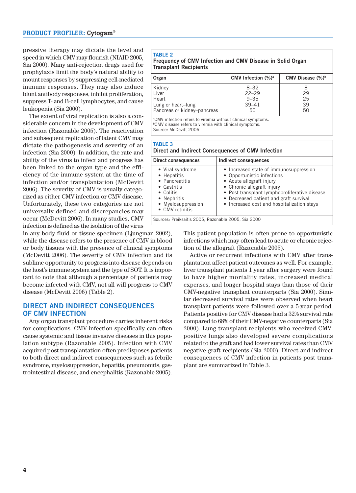pressive therapy may dictate the level and speed in which CMV may flourish (NIAID 2005, Sia 2000). Many anti-rejection drugs used for prophylaxis limit the body's natural ability to mount responses by suppressing cell-mediated immune responses. They may also induce blunt antibody responses, inhibit proliferation, suppress T- and B-cell lymphocytes, and cause leukopenia (Sia 2000).

The extent of viral replication is also a considerable concern in the development of CMV infection (Razonable 2005). The reactivation and subsequent replication of latent CMV may dictate the pathogenesis and severity of an infection (Sia 2000). In addition, the rate and ability of the virus to infect and progress has been linked to the organ type and the efficiency of the immune system at the time of infection and/or transplantation (McDevitt 2006). The severity of CMV is usually categorized as either CMV infection or CMV disease. Unfortunately, these two categories are not universally defined and discrepancies may occur (McDevitt 2006). In many studies, CMV infection is defined as the isolation of the virus

in any body fluid or tissue specimen (Ljungman 2002), while the disease refers to the presence of CMV in blood or body tissues with the presence of clinical symptoms (McDevitt 2006). The severity of CMV infection and its sublime opportunity to progress into disease depends on the host's immune system and the type of SOT. It is important to note that although a percentage of patients may become infected with CMV, not all will progress to CMV disease (McDevitt 2006) (Table 2).

# **DIRECT AND INDIRECT CONSEQUENCES OF CMV INFECTION**

Any organ transplant procedure carries inherent risks for complications. CMV infection specifically can often cause systemic and tissue invasive diseases in this population subtype (Razonable 2005). Infection with CMV acquired post transplantation often predisposes patients to both direct and indirect consequences such as febrile syndrome, myelosuppression, hepatitis, pneumonitis, gastrointestinal disease, and encephalitis (Razonable 2005).

#### **TABLE 2**

#### **Frequency of CMV Infection and CMV Disease in Solid Organ Transplant Recipients**

| Organ                       | CMV Infection $(\%)^a$ | CMV Disease (%) <sup>b</sup> |
|-----------------------------|------------------------|------------------------------|
| Kidney                      | $8 - 32$               |                              |
| Liver                       | $22 - 29$              | 29                           |
| Heart                       | $9 - 35$               | 25                           |
| Lung or heart-lung          | $39 - 41$              | 39                           |
| Pancreas or kidney-pancreas | 50                     | 50                           |
|                             |                        |                              |

<sup>a</sup>CMV infection refers to viremia without clinical symptoms. bCMV disease refers to viremia with clinical symptoms.

Source: McDevitt 2006

#### **TABLE 3**

| Direct and Indirect Consequences of CMV Infection |  |  |
|---------------------------------------------------|--|--|
|                                                   |  |  |

| Direct consequences                                                                                                                   | Indirect consequences                                                                                                                                                                                                                                                   |  |  |  |
|---------------------------------------------------------------------------------------------------------------------------------------|-------------------------------------------------------------------------------------------------------------------------------------------------------------------------------------------------------------------------------------------------------------------------|--|--|--|
| • Viral syndrome<br>• Hepatitis<br>• Pancreatitis<br>• Gastritis<br>• Colitis<br>• Nephritis<br>• Myelosuppression<br>• CMV retinitis | • Increased state of immunosuppression<br>• Opportunistic infections<br>• Acute allograft injury<br>• Chronic allograft injury<br>• Post transplant lymphoproliferative disease<br>• Decreased patient and graft survival<br>• Increased cost and hospitalization stays |  |  |  |
| Sources: Preiksaitis 2005, Razonable 2005, Sia 2000                                                                                   |                                                                                                                                                                                                                                                                         |  |  |  |

This patient population is often prone to opportunistic infections which may often lead to acute or chronic rejection of the allograft (Razonable 2005).

Active or recurrent infections with CMV after transplantation affect patient outcomes as well. For example, liver transplant patients 1 year after surgery were found to have higher mortality rates, increased medical expenses, and longer hospital stays than those of their CMV-negative transplant counterparts (Sia 2000). Similar decreased survival rates were observed when heart transplant patients were followed over a 5-year period. Patients positive for CMV disease had a 32% survival rate compared to 68% of their CMV-negative counterparts (Sia 2000). Lung transplant recipients who received CMV positive lungs also developed severe complications related to the graft and had lower survival rates than CMV negative graft recipients (Sia 2000). Direct and indirect consequences of CMV infection in patients post transplant are summarized in Table 3.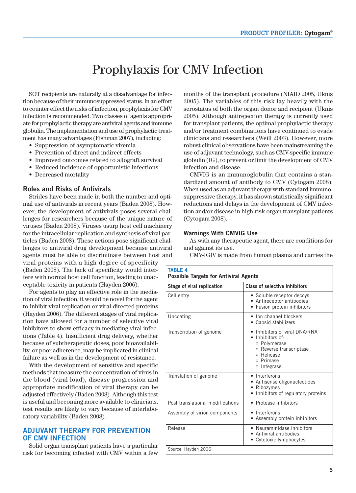# Prophylaxis for CMV Infection

SOT recipients are naturally at a disadvantage for infection because of their immunosuppressed status. In an effort to counter effect the risks of infection, prophylaxis for CMV infection is recommended. Two classes of agents appropriate for prophylactic therapy are antiviral agents and immune globulin. The implementation and use of prophylactic treatment has many advantages (Fishman 2007), including:

- Suppression of asymptomatic viremia
- Prevention of direct and indirect effects
- Improved outcomes related to allograft survival
- Reduced incidence of opportunistic infections
- Decreased mortality

#### **Roles and Risks of Antivirals**

Strides have been made in both the number and optimal use of antivirals in recent years (Baden 2008). However, the development of antivirals poses several challenges for researchers because of the unique nature of viruses (Baden 2008). Viruses usurp host cell machinery for the intracellular replication and synthesis of viral particles (Baden 2008). These actions pose significant challenges to antiviral drug development because antiviral agents must be able to discriminate between host and

viral proteins with a high degree of specificity (Baden 2008). The lack of specificity would interfere with normal host cell function, leading to unacceptable toxicity in patients (Hayden 2006).

For agents to play an effective role in the mediation of viral infection, it would be novel for the agent to inhibit viral replication or viral-directed proteins (Hayden 2006). The different stages of viral replication have allowed for a number of selective viral inhibitors to show efficacy in mediating viral infections (Table 4). Insufficient drug delivery, whether because of subtherapeutic doses, poor bioavailability, or poor adherence, may be implicated in clinical failure as well as in the development of resistance.

With the development of sensitive and specific methods that measure the concentration of virus in the blood (viral load), disease progression and appropriate modification of viral therapy can be adjusted effectively (Baden 2008). Although this test is useful and becoming more available to clinicians, test results are likely to vary because of interlaboratory variability (Baden 2008).

### **ADJUVANT THERAPY FOR PREVENTION OF CMV INFECTION**

Solid organ transplant patients have a particular risk for becoming infected with CMV within a few

months of the transplant procedure (NIAID 2005, Uknis 2005). The variables of this risk lay heavily with the serostatus of both the organ donor and recipient (Uknis 2005). Although antirejection therapy is currently used for transplant patients, the optimal prophylactic therapy and/or treatment combinations have continued to evade clinicians and researchers (Weill 2003). However, more robust clinical observations have been mainstreaming the use of adjuvant technology, such as CMV-specific immune globulin (IG), to prevent or limit the development of CMV infection and disease.

CMVIG is an immunoglobulin that contains a standardized amount of antibody to CMV (Cytogam 2008). When used as an adjuvant therapy with standard immunosuppressive therapy, it has shown statistically significant reductions and delays in the development of CMV infection and/or disease in high-risk organ transplant patients (Cytogam 2008).

#### **Warnings With CMVIG Use**

As with any therapeutic agent, there are conditions for and against its use.

CMV-IGIV is made from human plasma and carries the

| <b>TABLE 4</b><br><b>Possible Targets for Antiviral Agents</b> |                                                                                                                                            |  |  |  |
|----------------------------------------------------------------|--------------------------------------------------------------------------------------------------------------------------------------------|--|--|--|
| Stage of viral replication                                     | <b>Class of selective inhibitors</b>                                                                                                       |  |  |  |
| Cell entry                                                     | • Soluble receptor decoys<br>• Antireceptor antibodies<br>• Fusion protein inhibitors                                                      |  |  |  |
| Uncoating                                                      | Ion channel blockers<br>Capsid stabilizers                                                                                                 |  |  |  |
| Transcription of genome                                        | Inhibitors of viral DNA/RNA<br>· Inhibitors of:<br>○ Polymerase<br>○ Reverse transcriptase<br>o Helicase<br>o Primase<br>$\circ$ Integrase |  |  |  |
| Translation of genome                                          | • Interferons<br>• Antisense oligonucleotides<br>Ribozymes<br>Inhibitors of regulatory proteins                                            |  |  |  |
| Post translational modifications                               | • Protease inhibitors                                                                                                                      |  |  |  |
| Assembly of virion components                                  | Interferons<br>• Assembly protein inhibitors                                                                                               |  |  |  |
| Release                                                        | • Neuraminidase inhibitors<br>Antiviral antibodies<br>• Cytotoxic lymphocytes                                                              |  |  |  |
| Source: Hayden 2006                                            |                                                                                                                                            |  |  |  |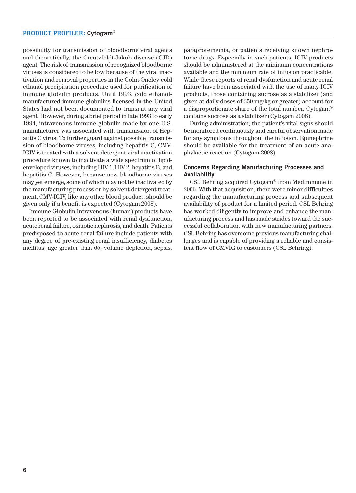possibility for transmission of bloodborne viral agents and theoretically, the Creutzfeldt-Jakob disease (CJD) agent. The risk of transmission of recognized bloodborne viruses is considered to be low because of the viral inactivation and removal properties in the Cohn-Oncley cold ethanol precipitation procedure used for purification of immune globulin products. Until 1993, cold ethanol manufactured immune globulins licensed in the United States had not been documented to transmit any viral agent. However, during a brief period in late 1993 to early 1994, intravenous immune globulin made by one U.S. manufacturer was associated with transmission of Hepatitis C virus. To further guard against possible transmission of bloodborne viruses, including hepatitis C, CMV-IGIV is treated with a solvent detergent viral inactivation procedure known to inactivate a wide spectrum of lipidenveloped viruses, including HIV-1, HIV-2, hepatitis B, and hepatitis C. However, because new bloodborne viruses may yet emerge, some of which may not be inactivated by the manufacturing process or by solvent detergent treatment, CMV-IGIV, like any other blood product, should be given only if a benefit is expected (Cytogam 2008).

Immune Globulin Intravenous (human) products have been reported to be associated with renal dysfunction, acute renal failure, osmotic nephrosis, and death. Patients predisposed to acute renal failure include patients with any degree of pre-existing renal insufficiency, diabetes mellitus, age greater than 65, volume depletion, sepsis,

paraproteinemia, or patients receiving known nephrotoxic drugs. Especially in such patients, IGIV products should be administered at the minimum concentrations available and the minimum rate of infusion practicable. While these reports of renal dysfunction and acute renal failure have been associated with the use of many IGIV products, those containing sucrose as a stabilizer (and given at daily doses of 350 mg/kg or greater) account for a disproportionate share of the total number. Cytogam® contains sucrose as a stabilizer (Cytogam 2008).

During administration, the patient's vital signs should be monitored continuously and careful observation made for any symptoms throughout the infusion. Epinephrine should be available for the treatment of an acute anaphylactic reaction (Cytogam 2008).

#### **Concerns Regarding Manufacturing Processes and Availability**

CSL Behring acquired Cytogam® from MedImmune in 2006. With that acquisition, there were minor difficulties regarding the manufacturing process and subsequent availability of product for a limited period. CSL Behring has worked diligently to improve and enhance the manufacturing process and has made strides toward the successful collaboration with new manufacturing partners. CSL Behring has overcome previous manufacturing challenges and is capable of providing a reliable and consistent flow of CMVIG to customers (CSL Behring).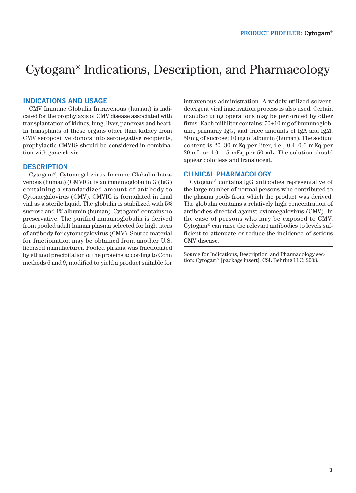# Cytogam® Indications, Description, and Pharmacology

# **INDICATIONS AND USAGE**

CMV Immune Globulin Intravenous (human) is indicated for the prophylaxis of CMV disease associated with transplantation of kidney, lung, liver, pancreas and heart. In transplants of these organs other than kidney from CMV seropositive donors into seronegative recipients, prophylactic CMVIG should be considered in combination with ganciclovir.

#### **DESCRIPTION**

Cytogam®, Cytomegalovirus Immune Globulin Intravenous (human) (CMVIG), is an immunoglobulin G (IgG) containing a standardized amount of antibody to Cytomegalovirus (CMV). CMVIG is formulated in final vial as a sterile liquid. The globulin is stabilized with 5% sucrose and 1% albumin (human). Cytogam® contains no preservative. The purified immunoglobulin is derived from pooled adult human plasma selected for high titers of antibody for cytomegalovirus (CMV). Source material for fractionation may be obtained from another U.S. licensed manufacturer. Pooled plasma was fractionated by ethanol precipitation of the proteins according to Cohn methods 6 and 9, modified to yield a product suitable for intravenous administration. A widely utilized solventdetergent viral inactivation process is also used. Certain manufacturing operations may be performed by other firms. Each milliliter contains:  $50\pm10$  mg of immunoglobulin, primarily IgG, and trace amounts of IgA and IgM; 50 mg of sucrose; 10 mg of albumin (human). The sodium content is 20–30 mEq per liter, i.e., 0.4–0.6 mEq per 20 mL or 1.0–1.5 mEq per 50 mL. The solution should appear colorless and translucent.

#### **CLINICAL PHARMACOLOGY**

Cytogam® contains IgG antibodies representative of the large number of normal persons who contributed to the plasma pools from which the product was derived. The globulin contains a relatively high concentration of antibodies directed against cytomegalovirus (CMV). In the case of persons who may be exposed to CMV, Cytogam® can raise the relevant antibodies to levels sufficient to attenuate or reduce the incidence of serious CMV disease.

Source for Indications, Description, and Pharmacology section: Cytogam® [package insert]. CSL Behring LLC; 2008.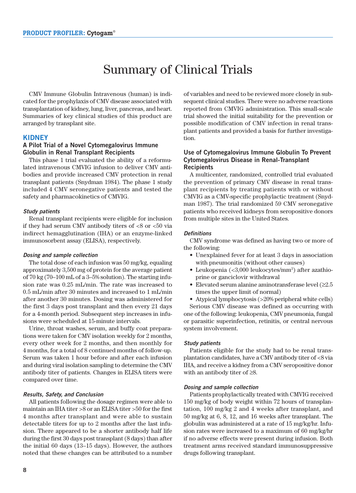# Summary of Clinical Trials

CMV Immune Globulin Intravenous (human) is indicated for the prophylaxis of CMV disease associated with transplantation of kidney, lung, liver, pancreas, and heart. Summaries of key clinical studies of this product are arranged by transplant site.

### **KIDNEY**

#### **A Pilot Trial of a Novel Cytomegalovirus Immune Globulin in Renal Transplant Recipients**

This phase 1 trial evaluated the ability of a reformulated intravenous CMVIG infusion to deliver CMV antibodies and provide increased CMV protection in renal transplant patients (Snydman 1984). The phase 1 study included 4 CMV seronegative patients and tested the safety and pharmacokinetics of CMVIG.

#### **Study patients**

Renal transplant recipients were eligible for inclusion if they had serum CMV antibody titers of <8 or <50 via indirect hemagglutination (IHA) or an enzyme-linked immunosorbent assay (ELISA), respectively.

#### **Dosing and sample collection**

The total dose of each infusion was 50 mg/kg, equaling approximately 3,500 mg of protein for the average patient of 70 kg (70–100 mL of a 3–5% solution). The starting infusion rate was 0.25 mL/min. The rate was increased to 0.5 mL/min after 30 minutes and increased to 1 mL/min after another 30 minutes. Dosing was administered for the first 3 days post transplant and then every 21 days for a 4-month period. Subsequent step increases in infusions were scheduled at 15-minute intervals.

Urine, throat washes, serum, and buffy coat preparations were taken for CMV isolation weekly for 2 months, every other week for 2 months, and then monthly for 4 months, for a total of 8 continued months of follow-up. Serum was taken 1 hour before and after each infusion and during viral isolation sampling to determine the CMV antibody titer of patients. Changes in ELISA titers were compared over time.

#### **Results, Safety, and Conclusion**

All patients following the dosage regimen were able to maintain an IHA titer >8 or an ELISA titer >50 for the first 4 months after transplant and were able to sustain detectable titers for up to 2 months after the last infusion. There appeared to be a shorter antibody half life during the first 30 days post transplant (8 days) than after the initial 60 days (13–15 days). However, the authors noted that these changes can be attributed to a number

of variables and need to be reviewed more closely in subsequent clinical studies. There were no adverse reactions reported from CMVIG administration. This small-scale trial showed the initial suitability for the prevention or possible modification of CMV infection in renal transplant patients and provided a basis for further investigation.

#### **Use of Cytomegalovirus Immune Globulin To Prevent Cytomegalovirus Disease in Renal-Transplant Recipients**

A multicenter, randomized, controlled trial evaluated the prevention of primary CMV disease in renal transplant recipients by treating patients with or without CMVIG as a CMV-specific prophylactic treatment (Snydman 1987). The trial randomized 59 CMV seronegative patients who received kidneys from seropositive donors from multiple sites in the United States.

#### **Definitions**

CMV syndrome was defined as having two or more of the following:

- Unexplained fever for at least 3 days in association with pneumonitis (without other causes)
- Leukopenia (<3,000 leukocytes/mm<sup>3</sup>) after azathioprine or ganciclovir withdrawal
- Elevated serum alanine aminotransferase level (≥2.5 times the upper limit of normal)
- Atypical lymphocytosis (>20% peripheral white cells)

Serious CMV disease was defined as occurring with one of the following: leukopenia, CMV pneumonia, fungal or parasitic superinfection, retinitis, or central nervous system involvement.

#### **Study patients**

Patients eligible for the study had to be renal transplantation candidates, have a CMV antibody titer of <8 via IHA, and receive a kidney from a CMV seropositive donor with an antibody titer of ≥8.

#### **Dosing and sample collection**

Patients prophylactically treated with CMVIG received 150 mg/kg of body weight within 72 hours of transplantation, 100 mg/kg 2 and 4 weeks after transplant, and 50 mg/kg at 6, 8, 12, and 16 weeks after transplant. The globulin was administered at a rate of 15 mg/kg/hr. Infusion rates were increased to a maximum of 60 mg/kg/hr if no adverse effects were present during infusion. Both treatment arms received standard immunosuppressive drugs following transplant.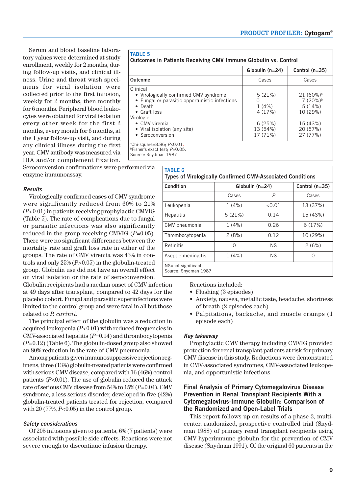Serum and blood baseline laboratory values were determined at study enrollment, weekly for 2 months, during follow-up visits, and clinical illness. Urine and throat wash specimens for viral isolation were collected prior to the first infusion, weekly for 2 months, then monthly for 6 months. Peripheral blood leukocytes were obtained for viral isolation every other week for the first 2 months, every month for 6 months, at the 1 year follow-up visit, and during any clinical illness during the first year. CMV antibody was measured via IHA and/or complement fixation.

Seroconversion confirmations were performed via enzyme immunoassay.

#### **Results**

Virologically confirmed cases of CMV syndrome were significantly reduced from 60% to 21% (*P*<0.01) in patients receiving prophylactic CMVIG (Table 5). The rate of complications due to fungal or parasitic infections was also significantly reduced in the group receiving CMVIG (*P*=0.05). There were no significant differences between the mortality rate and graft loss rate in either of the groups. The rate of CMV viremia was 43% in controls and only 25% (*P*>0.05) in the globulin-treated group. Globulin use did not have an overall effect on viral isolation or the rate of seroconversion.

Globulin recipients had a median onset of CMV infection at 49 days after transplant, compared to 42 days for the placebo cohort. Fungal and parasitic superinfections were limited to the control group and were fatal in all but those related to *P. carinii*.

The principal effect of the globulin was a reduction in acquired leukopenia (*P*<0.01) with reduced frequencies in CMV-associated hepatitis (*P*=0.14) and thrombocytopenia (*P*=0.12) (Table 6). The globulin-dosed group also showed an 80% reduction in the rate of CMV pneumonia.

Among patients given immunosuppressive rejection regimens, three (13%) globulin-treated patients were confirmed with serious CMV disease, compared with 16 (46%) control patients  $(P<0.01)$ . The use of globulin reduced the attack rate of serious CMV disease from 54% to 15% (*P*=0.04). CMV syndrome, a less-serious disorder, developed in five (42%) globulin-treated patients treated for rejection, compared with  $20$  (77%,  $P<0.05$ ) in the control group.

#### **Safety considerations**

Of 205 infusions given to patients, 6% (7 patients) were associated with possible side effects. Reactions were not severe enough to discontinue infusion therapy.

| <b>TABLE 5</b> |                                                                |
|----------------|----------------------------------------------------------------|
|                | Outcomes in Patients Receiving CMV Immune Globulin vs. Control |

|                                                                                                                                                                                                                           | Globulin $(n=24)$                                                               | Control $(n=35)$                                                                              |
|---------------------------------------------------------------------------------------------------------------------------------------------------------------------------------------------------------------------------|---------------------------------------------------------------------------------|-----------------------------------------------------------------------------------------------|
| <b>Outcome</b>                                                                                                                                                                                                            | Cases                                                                           | Cases                                                                                         |
| Clinical<br>• Virologically confirmed CMV syndrome<br>• Fungal or parasitic opportunistic infections<br>$\bullet$ Death<br>• Graft loss<br>Virologic<br>• CMV viremia<br>• Viral isolation (any site)<br>• Seroconversion | 5(21%)<br>$\left( \right)$<br>1(4%)<br>4(17%)<br>6(25%)<br>13 (54%)<br>17 (71%) | $21(60\%)^a$<br>7 (20%) <sup>b</sup><br>5(14%)<br>10 (29%)<br>15 (43%)<br>20 (57%)<br>27(77%) |
| <sup>a</sup> Chi-square=8.86; P<0.01.                                                                                                                                                                                     |                                                                                 |                                                                                               |

ªChi-square=8.86; *P*<0.01.<br>ʰFisher's exact test; *P*=0.05.

Source: Snydman 1987

**TABLE 5**

| Condition          | Globulin (n=24) | Control $(n=35)$ |          |
|--------------------|-----------------|------------------|----------|
|                    | Cases           | P                | Cases    |
| Leukopenia         | 1(4%)           | < 0.01           | 13 (37%) |
| <b>Hepatitis</b>   | 5(21%)          | 0.14             | 15 (43%) |
| CMV pneumonia      | 1(4%)           | 0.26             | 6(17%)   |
| Thrombocytopenia   | 2(8%)           | 0.12             | 10 (29%) |
| Retinitis          | ∩               | <b>NS</b>        | 2(6%)    |
| Aseptic meningitis | 1(4%)           | <b>NS</b>        | Ω        |

Reactions included:

- Flushing (3 episodes)
- Anxiety, nausea, metallic taste, headache, shortness of breath (2 episodes each)
- Palpitations, backache, and muscle cramps (1 episode each)

#### **Key takeaway**

Prophylactic CMV therapy including CMVIG provided protection for renal transplant patients at risk for primary CMV disease in this study. Reductions were demonstrated in CMV-associated syndromes, CMV-associated leukopenia, and opportunistic infections.

## **Final Analysis of Primary Cytomegalovirus Disease Prevention in Renal Transplant Recipients With a Cytomegalovirus-Immune Globulin: Comparison of the Randomized and Open-Label Trials**

This report follows up on results of a phase 3, multicenter, randomized, prospective controlled trial (Snydman 1988) of primary renal transplant recipients using CMV hyperimmune globulin for the prevention of CMV disease (Snydman 1991). Of the original 60 patients in the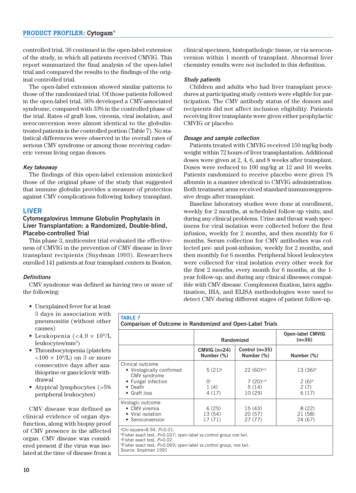controlled trial, 36 continued in the open-label extension of the study, in which all patients received CMVIG. This report summarized the final analysis of the open-label trial and compared the results to the findings of the original controlled trial.

The open-label extension showed similar patterns to those of the randomized trial. Of those patients followed in the open-label trial, 36% developed a CMV-associated syndrome, compared with 33% in the controlled phase of the trial. Rates of graft loss, viremia, viral isolation, and seroconversion were almost identical to the globulintreated patients in the controlled portion (Table 7). No statistical differences were observed in the overall rates of serious CMV syndrome or among those receiving cadaveric versus living organ donors.

#### **Key takeaway**

The findings of this open-label extension mimicked those of the original phase of the study that suggested that immune globulin provides a measure of protection against CMV complications following kidney transplant.

#### **LIVER**

#### **Cytomegalovirus Immune Globulin Prophylaxis in Liver Transplantation: a Randomized, Double-blind, Placebo-controlled Trial**

This phase 3, multicenter trial evaluated the effectiveness of CMVIG in the prevention of CMV disease in liver transplant recipients (Snydman 1993). Researchers enrolled 141 patients at four transplant centers in Boston.

#### **Definitions**

CMV syndrome was defined as having two or more of the following:

clinical specimen, histopathologic tissue, or via seroconversion within 1 month of transplant. Abnormal liver chemistry results were not included in this definition.

#### **Study patients**

Children and adults who had liver transplant procedures at participating study centers were eligible for participation. The CMV antibody status of the donors and recipients did not affect inclusion eligibility. Patients receiving liver transplants were given either prophylactic CMVIG or placebo.

#### **Dosage and sample collection**

Patients treated with CMVIG received 150 mg/kg body weight within 72 hours of liver transplantation. Additional doses were given at 2, 4, 6, and 8 weeks after transplant. Doses were reduced to 100 mg/kg at 12 and 16 weeks. Patients randomized to receive placebo were given 1% albumin in a manner identical to CMVIG administration. Both treatment arms received standard immunosuppressive drugs after transplant.

Baseline laboratory studies were done at enrollment, weekly for 2 months, at scheduled follow-up visits, and during any clinical problems. Urine and throat wash specimens for viral isolation were collected before the first infusion, weekly for 2 months, and then monthly for 6 months. Serum collection for CMV antibodies was collected pre- and post-infusion, weekly for 2 months, and then monthly for 6 months. Peripheral blood leukocytes were collected for viral isolation every other week for the first 2 months, every month for 6 months, at the 1 year follow-up, and during any clinical illnesses compatible with CMV disease. Complement fixation, latex agglutination, IHA, and ELISA methodologies were used to detect CMV during different stages of patient follow-up.

- Unexplained fever for at least 3 days in association with pneumonitis (without other causes)
- Leukopenia (<4.0  $\times$  10<sup>9</sup>/L leukocytes/mm<sup>3</sup>)
- Thrombocytopenia (platelets  $<$ 100  $\times$  10<sup>9</sup>/L) on 3 or more consecutive days after azathioprine or ganciclovir withdrawal
- Atypical lymphocytes (>5% peripheral leukocytes)

CMV disease was defined as clinical evidence of organ dysfunction, along with biopsy proof of CMV presence in the affected organ. CMV disease was considered present if the virus was isolated at the time of disease from a

|                                                                             | Randomized                      |                               | <b>Open-label CMVIG</b><br>$(n=36)$ |
|-----------------------------------------------------------------------------|---------------------------------|-------------------------------|-------------------------------------|
|                                                                             | $CMVIG(n=24)$<br>Number (%)     | Control (n=35)<br>Number (%)  | Number (%)                          |
| Clinical outcome<br>• Virologically confirmed<br>CMV syndrome               | $5(21)^a$                       | $22(60)^{a,b}$                | $13(36)^{b}$                        |
| • Fungal infection<br>$\bullet$ Death<br>Graft loss<br>$\bullet$            | O <sup>c</sup><br>1(4)<br>4(17) | 7 (20)c,d<br>5(14)<br>10 (29) | $2(6)^d$<br>2(7)<br>6(17)           |
| Virologic outcome<br>• CMV viremia<br>• Viral isolation<br>• Seroconversion | 6(25)<br>13 (54)<br>17 (71)     | 15 (43)<br>20 (57)<br>27(77)  | 8(22)<br>21 (58)<br>24 (67)         |

Source: Snydman 1991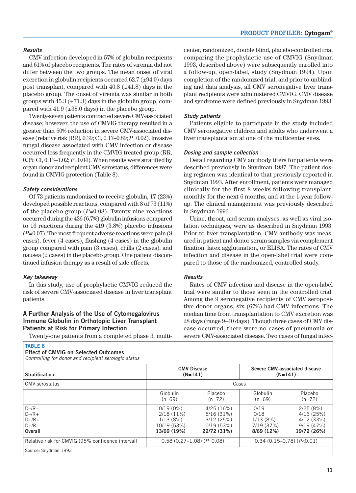#### **Results**

CMV infection developed in 57% of globulin recipients and 61% of placebo recipients. The rates of viremia did not differ between the two groups. The mean onset of viral excretion in globulin recipients occurred  $62.7 (\pm 94.0)$  days post transplant, compared with  $40.8$  ( $\pm 41.8$ ) days in the placebo group. The onset of viremia was similar in both groups with  $45.3 \ (\pm 71.3)$  days in the globulin group, compared with  $41.9$  ( $\pm 38.0$  days) in the placebo group.

Twenty-seven patients contracted severe CMV-associated disease; however, the use of CMVIG therapy resulted in a greater than 50% reduction in severe CMV-associated disease (relative risk [RR], 0.39; CI, 0.17–0.89; *P*=0.02). Invasive fungal disease associated with CMV infection or disease occurred less frequently in the CMVIG treated group (RR, 0.35; CI, 0.13–1.02; *P*=0.04). When results were stratified by organ donor and recipient CMV serostatus, differences were found in CMVIG protection (Table 8).

#### **Safety considerations**

Of 73 patients randomized to receive globulin, 17 (23%) developed possible reactions, compared with 8 of 73 (11%) of the placebo group (*P*=0.08). Twenty-nine reactions occurred during the 436 (6.7%) globulin infusions compared to 16 reactions during the 419 (3.8%) placebo infusions (*P*=0.07). The most frequent adverse reactions were pain (8 cases), fever (4 cases), flushing (4 cases) in the globulin group compared with pain (3 cases), chills (2 cases), and nausea (2 cases) in the placebo group. One patient discontinued infusion therapy as a result of side effects.

#### **Key takeaway**

In this study, use of prophylactic CMVIG reduced the risk of severe CMV-associated disease in liver transplant patients.

# **A Further Analysis of the Use of Cytomegalovirus Immune Globulin in Orthotopic Liver Transplant Patients at Risk for Primary Infection**

Twenty-one patients from a completed phase 3, multi-

#### **TABLE 8 Effect of CMVIG on Selected Outcomes** Controlling for donor and recipient serologic status

center, randomized, double blind, placebo-controlled trial comparing the prophylactic use of CMVIG (Snydman 1993, described above) were subsequently enrolled into a follow-up, open-label, study (Snydman 1994). Upon completion of the randomized trial, and prior to unblinding and data analysis, all CMV seronegative liver transplant recipients were administered CMVIG. CMV disease and syndrome were defined previously in Snydman 1993.

#### **Study patients**

Patients eligible to participate in the study included CMV seronegative children and adults who underwent a liver transplantation at one of the multicenter sites.

#### **Dosing and sample collection**

Detail regarding CMV antibody titers for patients were described previously in Snydman 1987. The patient dosing regimen was identical to that previously reported in Snydman 1993. After enrollment, patients were managed clinically for the first 8 weeks following transplant, monthly for the next 6 months, and at the 1-year followup. The clinical management was previously described in Snydman 1993.

Urine, throat, and serum analyses, as well as viral isolation techniques, were as described in Snydman 1993. Prior to liver transplantation, CMV antibody was measured in patient and donor serum samples via complement fixation, latex agglutination, or ELISA. The rates of CMV infection and disease in the open-label trial were compared to those of the randomized, controlled study.

#### **Results**

Rates of CMV infection and disease in the open-label trial were similar to those seen in the controlled trial. Among the 9 seronegative recipients of CMV seropositive donor organs, six (67%) had CMV infections. The median time from transplantation to CMV excretion was 28 days (range 9–40 days). Though three cases of CMV disease occurred, there were no cases of pneumonia or severe CMV-associated disease. Two cases of fungal infec-

| Controlling for donor and recipient servicero status        |                                                                               |                                                                   |                                                    |                                                                |
|-------------------------------------------------------------|-------------------------------------------------------------------------------|-------------------------------------------------------------------|----------------------------------------------------|----------------------------------------------------------------|
| <b>Stratification</b>                                       | <b>CMV Disease</b><br>Severe CMV-associated disease<br>$(N=141)$<br>$(N=141)$ |                                                                   |                                                    |                                                                |
| CMV serostatus                                              | Cases                                                                         |                                                                   |                                                    |                                                                |
|                                                             | Globulin<br>$(n=69)$                                                          | Placebo<br>$(n=72)$                                               | Globulin<br>$(n=69)$                               | Placebo<br>$(n=72)$                                            |
| $D - /R -$<br>$D$ –/R+<br>$D+/R+$<br>$D+$ /R $-$<br>Overall | $0/19(0\%)$<br>2/18(11%)<br>1/13(8%)<br>10/19 (53%)<br>13/69 (19%)            | 4/25(16%)<br>5/16(31%)<br>3/12(25%)<br>10/19 (53%)<br>22/72 (31%) | 0/19<br>0/18<br>1/13(8%)<br>7/19(37%)<br>8/69(12%) | 2/25(8%)<br>4/16(25%)<br>4/12(33%)<br>9/19(47%)<br>19/72 (26%) |
| Relative risk for CMVIG (95% confidence interval)           | $0.58(0.27-1.08)(P=0.08)$                                                     |                                                                   | $0.34(0.15-0.78)(P<0.01)$                          |                                                                |
| Source: Snydman 1993                                        |                                                                               |                                                                   |                                                    |                                                                |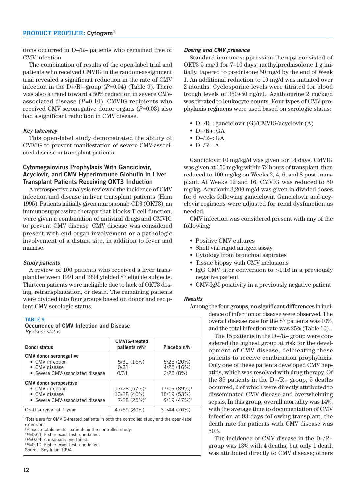tions occurred in D–/R– patients who remained free of CMV infection.

The combination of results of the open-label trial and patients who received CMVIG in the random-assignment trial revealed a significant reduction in the rate of CMV infection in the D+/R– group (*P*=0.04) (Table 9). There was also a trend toward a 50% reduction in severe CMVassociated disease (*P*=0.10). CMVIG recipients who received CMV seronegative donor organs (*P*=0.03) also had a significant reduction in CMV disease.

#### **Key takeaway**

This open-label study demonstrated the ability of CMVIG to prevent manifestation of severe CMV-associated disease in transplant patients.

#### **Cytomegalovirus Prophylaxis With Ganciclovir, Acyclovir, and CMV Hyperimmune Globulin in Liver Transplant Patients Receiving OKT3 Induction**

A retrospective analysis reviewed the incidence of CMV infection and disease in liver transplant patients (Ham 1995). Patients initially given muromonab-CD3 (OKT3), an immunosuppressive therapy that blocks T cell function, were given a combination of antiviral drugs and CMVIG to prevent CMV disease. CMV disease was considered present with end-organ involvement or a pathologic involvement of a distant site, in addition to fever and malaise.

#### **Study patients**

A review of 100 patients who received a liver transplant between 1991 and 1994 yielded 87 eligible subjects. Thirteen patients were ineligible due to lack of OKT3 dosing, retransplantation, or death. The remaining patients were divided into four groups based on donor and recipient CMV serologic status.

#### **TABLE 9**

**Occurrence of CMV Infection and Disease** By donor status

| Donor status                                                                                                                                                                                                                       | <b>CMVIG-treated</b><br>patients n/N <sup>a</sup>                  | Placebo n/N <sup>b</sup>                                            |  |  |
|------------------------------------------------------------------------------------------------------------------------------------------------------------------------------------------------------------------------------------|--------------------------------------------------------------------|---------------------------------------------------------------------|--|--|
| <b>CMV</b> donor seronegative<br>• CMV infection<br>• CMV disease<br>• Severe CMV-associated disease                                                                                                                               | 5/31(16%)<br>$0/31$ <sup>c</sup><br>0/31                           | 5/25(20%)<br>4/25(16%)<br>2/25(8%)                                  |  |  |
| <b>CMV</b> donor seropositive<br>• CMV infection<br>• CMV disease<br>• Severe CMV-associated disease                                                                                                                               | 17/28 (57%) <sup>d</sup><br>13/28 (46%)<br>7/28 (25%) <sup>e</sup> | 17/19 (89%) <sup>d</sup><br>10/19 (53%)<br>$9/19(47%)$ <sup>e</sup> |  |  |
| Graft survival at 1 year                                                                                                                                                                                                           | 47/59 (80%)                                                        | 31/44 (70%)                                                         |  |  |
| <sup>a</sup> Totals are for CMVIG-treated patients in both the controlled study and the open-label<br>extension.<br><b>Placebo totals are for patients in the controlled study.</b><br><b>CP-0.03</b> Fisher exact test one-tailed |                                                                    |                                                                     |  |  |

P=0.03, Fisher exact test, one-tailed.

dP=0.04, chi-square, one-tailed.

e P=0.10, Fisher exact test, one-tailed. Source: Snydman 1994

#### **Dosing and CMV presence**

Standard immunosuppression therapy consisted of OKT3 5 mg/d for 7–10 days; methylprednisolone 1 g initially, tapered to prednisone 50 mg/d by the end of Week 1. An additional reduction to 10 mg/d was initiated over 2 months. Cyclosporine levels were titrated for blood trough levels of 350±50 ng/mL. Azathioprine 2 mg/kg/d was titrated to leukocyte counts. Four types of CMV prophylaxis regimens were used based on serologic status:

- D+/R–: ganciclovir (G)/CMVIG/acyclovir (A)
- $\bullet$  D+/R+: GA
- $\bullet$  D-/R+: GA
- $\bullet$  D–/R–: A

Ganciclovir 10 mg/kg/d was given for 14 days. CMVIG was given at 150 mg/kg within 72 hours of transplant, then reduced to 100 mg/kg on Weeks 2, 4, 6, and 8 post transplant. At Weeks 12 and 16, CMVIG was reduced to 50 mg/kg. Acyclovir 3,200 mg/d was given in divided doses for 6 weeks following ganciclovir. Ganciclovir and acyclovir regimens were adjusted for renal dysfunction as needed.

CMV infection was considered present with any of the following:

- Positive CMV cultures
- Shell vial rapid antigen assay
- Cytology from bronchial aspirates
- Tissue biopsy with CMV inclusions
- IgG CMV titer conversion to >1:16 in a previously negative patient
- CMV-IgM positivity in a previously negative patient

#### **Results**

Among the four groups, no significant differences in inci-

dence of infection or disease were observed. The overall disease rate for the 87 patients was 10%, and the total infection rate was 25% (Table 10).

The 15 patients in the D+/R– group were considered the highest group at risk for the development of CMV disease, delineating these patients to receive combination prophylaxis. Only one of these patients developed CMV hepatitis, which was resolved with drug therapy. Of the 35 patients in the  $D+/R+$  group, 5 deaths occurred, 2 of which were directly attributed to disseminated CMV disease and overwhelming sepsis. In this group, overall mortality was 14%, with the average time to documentation of CMV infection at 93 days following transplant; the death rate for patients with CMV disease was 50%.

The incidence of CMV disease in the D–/R+ group was 13% with 4 deaths, but only 1 death was attributed directly to CMV disease; others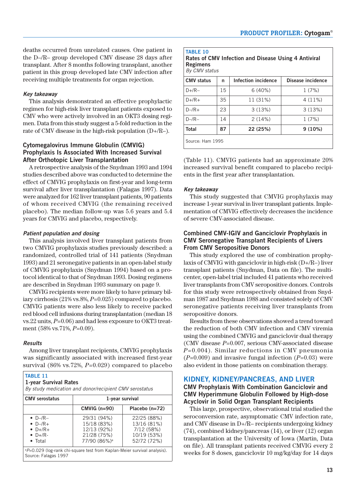deaths occurred from unrelated causes. One patient in the D–/R– group developed CMV disease 28 days after transplant. After 8 months following transplant, another patient in this group developed late CMV infection after receiving multiple treatments for organ rejection.

#### **Key takeaway**

This analysis demonstrated an effective prophylactic regimen for high-risk liver transplant patients exposed to CMV who were actively involved in an OKT3 dosing regimen. Data from this study suggest a 5-fold reduction in the rate of CMV disease in the high-risk population (D+/R–).

### **Cytomegalovirus Immune Globulin (CMVIG) Prophylaxis Is Associated With Increased Survival After Orthotopic Liver Transplantation**

A retrospective analysis of the Snydman 1993 and 1994 studies described above was conducted to determine the effect of CMVIG prophylaxis on first-year and long-term survival after liver transplantation (Falagas 1997). Data were analyzed for 162 liver transplant patients, 90 patients of whom received CMVIG (the remaining received placebo). The median follow-up was 5.6 years and 5.4 years for CMVIG and placebo, respectively.

#### **Patient population and dosing**

This analysis involved liver transplant patients from two CMVIG prophylaxis studies previously described: a randomized, controlled trial of 141 patients (Snydman 1993) and 21 seronegative patients in an open-label study of CMVIG prophylaxis (Snydman 1994) based on a protocol identical to that of Snydman 1993. Dosing regimens are described in Snydman 1993 summary on page 9.

CMVIG recipients were more likely to have primary biliary cirrhosis (21% vs.8%, *P*=0.025) compared to placebo. CMVIG patients were also less likely to receive packed red blood cell infusions during transplantation (median 18 vs.22 units, *P*=0.06) and had less exposure to OKT3 treatment (58% vs.71%, *P*=0.09).

#### **Results**

Among liver transplant recipients, CMVIG prophylaxis was significantly associated with increased first-year survival (86% vs.72%, *P*=0.029) compared to placebo

| <b>CMV</b> serostatus | 1-year survival          |                  |  |
|-----------------------|--------------------------|------------------|--|
|                       | $CMVIG(n=90)$            | Placebo $(n=72)$ |  |
| $\bullet$ D-/R-       | 29/31 (94%)              | 22/25 (88%)      |  |
| $\bullet$ D-/R+       | 15/18 (83%)              | 13/16 (81%)      |  |
| $\bullet$ D+/R+       | 12/13 (92%)              | 7/12 (58%)       |  |
| $\bullet$ D+/R-       | 21/28 (75%)              | 10/19 (53%)      |  |
| $\bullet$ Total       | 77/90 (86%) <sup>a</sup> | 52/72 (72%)      |  |

#### **TABLE 10**

**Rates of CMV Infection and Disease Using 4 Antiviral Regimens** By CMV status

| <b>CMV</b> status | n  | Infection incidence | Disease incidence |  |
|-------------------|----|---------------------|-------------------|--|
| $D+$ /R-          | 15 | 6(40%)              | 1(7%)             |  |
| $D+/R+$           | 35 | 11 (31%)            | $4(11\%)$         |  |
| $D - /R +$        | 23 | 3(13%)              | 3(13%)            |  |
| $D - /R -$        | 14 | 2(14%)              | 1(7%)             |  |
| <b>Total</b>      | 87 | 22 (25%)            | 9(10%)            |  |
| Source: Ham 1995  |    |                     |                   |  |

(Table 11). CMVIG patients had an approximate 20% increased survival benefit compared to placebo recipients in the first year after transplantation.

#### **Key takeaway**

This study suggested that CMVIG prophylaxis may increase 1-year survival in liver transplant patients. Implementation of CMVIG effectively decreases the incidence of severe CMV-associated disease.

#### **Combined CMV-IGIV and Ganciclovir Prophylaxis in CMV Seronegative Transplant Recipients of Livers From CMV Seropositive Donors**

This study explored the use of combination prophylaxis of CMVIG with ganciclovir in high-risk (D+/R–) liver transplant patients (Snydman, Data on file). The multicenter, open-label trial included 41 patients who received liver transplants from CMV seropositive donors. Controls for this study were retrospectively obtained from Snydman 1987 and Snydman 1988 and consisted solely of CMV seronegative patients receiving liver transplants from seropositive donors.

Results from these observations showed a trend toward the reduction of both CMV infection and CMV viremia using the combined CMVIG and ganciclovir dual therapy (CMV disease *P*=0.007, serious CMV-associated disease *P*=0.004). Similar reductions in CMV pneumonia (*P*=0.009) and invasive fungal infection (*P*=0.03) were also evident in those patients on combination therapy.

#### **KIDNEY, KIDNEY/PANCREAS, AND LIVER**

#### **CMV Prophylaxis With Combination Ganciclovir and CMV Hyperimmune Globulin Followed by High-dose Acyclovir in Solid Organ Transplant Recipients**

This large, prospective, observational trial studied the seroconversion rate, asymptomatic CMV infection rate, and CMV disease in D+/R– recipients undergoing kidney (74), combined kidney/pancreas (14), or liver (12) organ transplantation at the University of Iowa (Martin, Data on file). All transplant patients received CMVIG every 2 weeks for 8 doses, ganciclovir 10 mg/kg/day for 14 days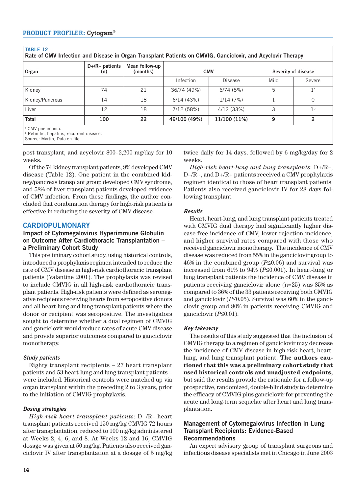**TABLE 12**

| Organ           | $D+$ /R- patients<br>(n) | Mean follow-up<br>(months) |              | <b>CMV</b>   |      | Severity of disease |  |
|-----------------|--------------------------|----------------------------|--------------|--------------|------|---------------------|--|
|                 |                          |                            | Infection    | Disease      | Mild | Severe              |  |
| Kidnev          | 74                       | 21                         | 36/74 (49%)  | 6/74(8%)     | 5    | 1 <sup>a</sup>      |  |
| Kidney/Pancreas | 14                       | 18                         | 6/14(43%)    | 1/14(7%)     |      | $\Omega$            |  |
| Liver           | 12                       | 18                         | 7/12(58%)    | 4/12(33%)    | 3    | 1 <sup>b</sup>      |  |
| Total           | 100                      | 22                         | 49/100 (49%) | 11/100 (11%) | 9    | 2                   |  |

post transplant, and acyclovir 800–3,200 mg/day for 10 weeks.

Of the 74 kidney transplant patients, 9% developed CMV disease (Table 12). One patient in the combined kidney/pancreas transplant group developed CMV syndrome, and 58% of liver transplant patients developed evidence of CMV infection. From these findings, the author concluded that combination therapy for high-risk patients is effective in reducing the severity of CMV disease.

# **CARDIOPULMONARY**

#### **Impact of Cytomegalovirus Hyperimmune Globulin on Outcome After Cardiothoracic Transplantation – a Preliminary Cohort Study**

This preliminary cohort study, using historical controls, introduced a prophylaxis regimen intended to reduce the rate of CMV disease in high-risk cardiothoracic transplant patients (Valantine 2001). The prophylaxis was revised to include CMVIG in all high-risk cardiothoracic transplant patients. High-risk patients were defined as seronegative recipients receiving hearts from seropositive donors and all heart-lung and lung transplant patients where the donor or recipient was seropositive. The investigators sought to determine whether a dual regimen of CMVIG and ganciclovir would reduce rates of acute CMV disease and provide superior outcomes compared to ganciclovir monotherapy.

### **Study patients**

Eighty transplant recipients – 27 heart transplant patients and 53 heart-lung and lung transplant patients – were included. Historical controls were matched up via organ transplant within the preceding 2 to 3 years, prior to the initiation of CMVIG prophylaxis.

### **Dosing strategies**

*High-risk heart transplant patients*: D+/R– heart transplant patients received 150 mg/kg CMVIG 72 hours after transplantation, reduced to 100 mg/kg administered at Weeks 2, 4, 6, and 8. At Weeks 12 and 16, CMVIG dosage was given at 50 mg/kg. Patients also received ganciclovir IV after transplantation at a dosage of 5 mg/kg twice daily for 14 days, followed by 6 mg/kg/day for 2 weeks.

*High-risk heart-lung and lung transplants*: D+/R–, D–/R+, and D+/R+ patients received a CMV prophylaxis regimen identical to those of heart transplant patients. Patients also received ganciclovir IV for 28 days following transplant.

#### **Results**

Heart, heart-lung, and lung transplant patients treated with CMVIG dual therapy had significantly higher disease-free incidence of CMV, lower rejection incidence, and higher survival rates compared with those who received ganciclovir monotherapy. The incidence of CMV disease was reduced from 55% in the ganciclovir group to 46% in the combined group (*P*≤0.06) and survival was increased from 61% to 94% (*P*≤0.001). In heart-lung or lung transplant patients the incidence of CMV disease in patients receiving ganciclovir alone (n=25) was 85% as compared to 36% of the 33 patients receiving both CMVIG and ganciclovir (*P*≤0.05). Survival was 60% in the ganciclovir group and 80% in patients receiving CMVIG and ganciclovir (*P*≤0.01).

### **Key takeaway**

The results of this study suggested that the inclusion of CMVIG therapy to a regimen of ganciclovir may decrease the incidence of CMV disease in high-risk heart, heartlung, and lung transplant patient. **The authors cautioned that this was a preliminary cohort study that used historical controls and unadjusted endpoints,** but said the results provide the rationale for a follow-up prospective, randomized, double-blind study to determine the efficacy of CMVIG plus ganciclovir for preventing the acute and long-term sequelae after heart and lung transplantation.

#### **Management of Cytomegalovirus Infection in Lung Transplant Recipients: Evidence-Based Recommendations**

An expert advisory group of transplant surgeons and infectious disease specialists met in Chicago in June 2003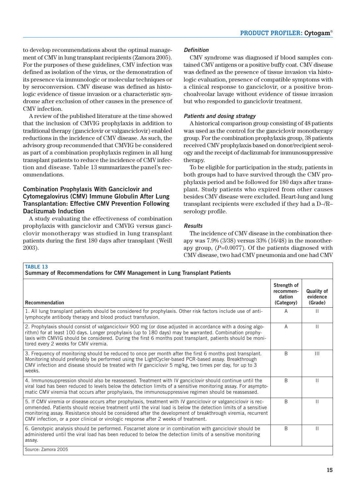to develop recommendations about the optimal management of CMV in lung transplant recipients (Zamora 2005). For the purposes of these guidelines, CMV infection was defined as isolation of the virus, or the demonstration of its presence via immunologic or molecular techniques or by seroconversion. CMV disease was defined as histologic evidence of tissue invasion or a characteristic syndrome after exclusion of other causes in the presence of CMV infection.

A review of the published literature at the time showed that the inclusion of CMVIG prophylaxis in addition to traditional therapy (ganciclovir or valganciclovir) enabled reductions in the incidence of CMV disease. As such, the advisory group recommended that CMVIG be considered as part of a combination prophylaxis regimen in all lung transplant patients to reduce the incidence of CMV infection and disease. Table 13 summarizes the panel's recommendations.

# **Combination Prophylaxis With Ganciclovir and Cytomegalovirus (CMV) Immune Globulin After Lung Transplantation: Effective CMV Prevention Following Daclizumab Induction**

A study evaluating the effectiveness of combination prophylaxis with ganciclovir and CMVIG versus ganciclovir monotherapy was studied in lung transplant patients during the first 180 days after transplant (Weill 2003).

**TABLE 13**

## **Definition**

CMV syndrome was diagnosed if blood samples contained CMV antigens or a positive buffy coat. CMV disease was defined as the presence of tissue invasion via histologic evaluation, presence of compatible symptoms with a clinical response to ganciclovir, or a positive bronchoalveolar lavage without evidence of tissue invasion but who responded to ganciclovir treatment.

#### **Patients and dosing strategy**

A historical comparison group consisting of 48 patients was used as the control for the ganciclovir monotherapy group. For the combination prophylaxis group, 38 patients received CMV prophylaxis based on donor/recipient serology and the receipt of daclizumab for immunosuppressive therapy.

To be eligible for participation in the study, patients in both groups had to have survived through the CMV prophylaxis period and be followed for 180 days after transplant. Study patients who expired from other causes besides CMV disease were excluded. Heart-lung and lung transplant recipients were excluded if they had a D–/R– serology profile.

### **Results**

The incidence of CMV disease in the combination therapy was 7.9% (3/38) versus 33% (16/48) in the monotherapy group, (*P*=0.0077). Of the patients diagnosed with CMV disease, two had CMV pneumonia and one had CMV

| Strength of<br>recommen-<br>dation                                                                                                                                                                                                                                                                                                                                                                                                                   | <b>Quality of</b><br>evidence |
|------------------------------------------------------------------------------------------------------------------------------------------------------------------------------------------------------------------------------------------------------------------------------------------------------------------------------------------------------------------------------------------------------------------------------------------------------|-------------------------------|
| Recommendation<br>(Category)                                                                                                                                                                                                                                                                                                                                                                                                                         | (Grade)                       |
| A<br>1. All lung transplant patients should be considered for prophylaxis. Other risk factors include use of anti-<br>lymphocyte antibody therapy and blood product transfusion.                                                                                                                                                                                                                                                                     | $\mathbf{H}$                  |
| 2. Prophylaxis should consist of valganciclovir 900 mg (or dose adjusted in accordance with a dosing algo-<br>A<br>rithm) for at least 100 days. Longer prophylaxis (up to 180 days) may be warranted. Combination prophy-<br>laxis with CMVIG should be considered. During the first 6 months post transplant, patients should be moni-<br>tored every 2 weeks for CMV viremia.                                                                     | $\mathbf{H}$                  |
| 3. Frequency of monitoring should be reduced to once per month after the first 6 months post transplant.<br><sub>R</sub><br>Monitoring should preferably be performed using the LightCycler-based PCR-based assay. Breakthrough<br>CMV infection and disease should be treated with IV ganciclovir 5 mg/kg, two times per day, for up to 3                                                                                                           | $\mathbf{III}$                |
| <sub>R</sub><br>4. Immunosuppression should also be reassessed. Treatment with IV ganciclovir should continue until the<br>viral load has been reduced to levels below the detection limits of a sensitive monitoring assay. For asympto-<br>matic CMV viremia that occurs after prophylaxis, the immunosuppressive regimen should be reassessed.                                                                                                    | $\mathbf{H}$                  |
| <sub>R</sub><br>5. If CMV viremia or disease occurs after prophylaxis, treatment with IV ganciclovir or valganciclovir is rec-<br>ommended. Patients should receive treatment until the viral load is below the detection limits of a sensitive<br>monitoring assay. Resistance should be considered after the development of breakthrough viremia, recurrent<br>CMV infection, or a poor clinical or virologic response after 2 weeks of treatment. | $\mathbf{H}$                  |
| <sub>R</sub><br>6. Genotypic analysis should be performed. Foscarnet alone or in combination with ganciclovir should be<br>administered until the viral load has been reduced to below the detection limits of a sensitive monitoring                                                                                                                                                                                                                | Ш                             |
| Source: Zamora 2005                                                                                                                                                                                                                                                                                                                                                                                                                                  |                               |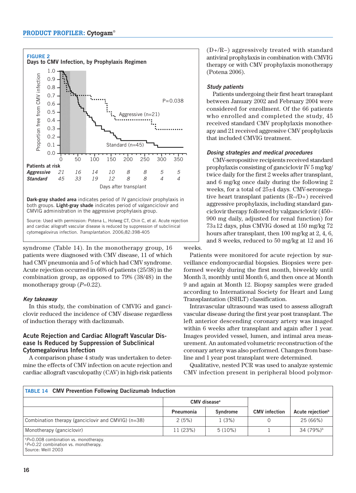

both groups. **Light-gray shade** indicates period of valganciclovir and CMVIG administration in the aggressive prophylaxis group.

Source: Used with permission: Potena L, Holweg CT, Chin C, et al. Acute rejection and cardiac allograft vascular disease is reduced by suppression of subclinical cytomegalovirus infection. Transplantation. 2006;82:398-405

syndrome (Table 14). In the monotherapy group, 16 patients were diagnosed with CMV disease, 11 of which had CMV pneumonia and 5 of which had CMV syndrome. Acute rejection occurred in 66% of patients (25/38) in the combination group, as opposed to 79% (38/48) in the monotherapy group ( $P=0.22$ ).

#### **Key takeaway**

In this study, the combination of CMVIG and ganciclovir reduced the incidence of CMV disease regardless of induction therapy with daclizumab.

## **Acute Rejection and Cardiac Allograft Vascular Disease Is Reduced by Suppression of Subclinical Cytomegalovirus Infection**

A comparison phase 4 study was undertaken to determine the effects of CMV infection on acute rejection and cardiac allograft vasculopathy (CAV) in high-risk patients

(D+/R–) aggressively treated with standard antiviral prophylaxis in combination with CMVIG therapy or with CMV prophylaxis monotherapy (Potena 2006).

### **Study patients**

Patients undergoing their first heart transplant between January 2002 and February 2004 were considered for enrollment. Of the 66 patients who enrolled and completed the study, 45 received standard CMV prophylaxis monotherapy and 21 received aggressive CMV prophylaxis that included CMVIG treatment.

#### **Dosing strategies and medical procedures**

CMV-seropositive recipients received standard prophylaxis consisting of ganciclovir IV 5 mg/kg/ twice daily for the first 2 weeks after transplant, and 6 mg/kg once daily during the following 2 weeks, for a total of 25±4 days. CMV-seronegative heart transplant patients (R–/D+) received aggressive prophylaxis, including standard ganciclovir therapy followed by valganciclovir (450– 900 mg daily, adjusted for renal function) for 73±12 days, plus CMVIG dosed at 150 mg/kg 72 hours after transplant, then 100 mg/kg at 2, 4, 6, and 8 weeks, reduced to 50 mg/kg at 12 and 16

Patients were monitored for acute rejection by surveillance endomyocardial biopsies. Biopsies were performed weekly during the first month, biweekly until Month 3, monthly until Month 6, and then once at Month 9 and again at Month 12. Biopsy samples were graded according to International Society for Heart and Lung Transplantation (ISHLT) classification.

Intravascular ultrasound was used to assess allograft vascular disease during the first year post transplant. The left anterior descending coronary artery was imaged within 6 weeks after transplant and again after 1 year. Images provided vessel, lumen, and intimal area measurement. An automated volumetric reconstruction of the coronary artery was also performed. Changes from baseline and 1 year post transplant were determined.

Qualitative, nested PCR was used to analyze systemic CMV infection present in peripheral blood polymor-

| <b>TABLE 14 CMV Prevention Following Daclizumab Induction</b>                                         |                          |           |                      |                              |  |
|-------------------------------------------------------------------------------------------------------|--------------------------|-----------|----------------------|------------------------------|--|
|                                                                                                       | CMV disease <sup>a</sup> |           |                      |                              |  |
|                                                                                                       | Pneumonia                | Syndrome  | <b>CMV</b> infection | Acute rejection <sup>b</sup> |  |
| Combination therapy (ganciclovir and CMVIG) (n=38)                                                    | 2(5%)                    | 1(3%)     | $\Omega$             | 25 (66%)                     |  |
| Monotherapy (ganciclovir)                                                                             | 11 (23%)                 | $5(10\%)$ |                      | 34 (79%) <sup>b</sup>        |  |
| $P=0.008$ combination vs. monotherapy.<br>$P=0.22$ combination vs. monotherapy.<br>Source: Weill 2003 |                          |           |                      |                              |  |

weeks.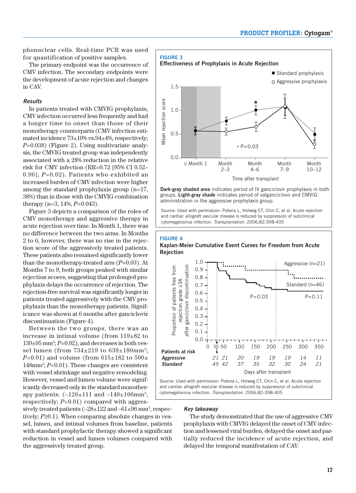phonuclear cells. Real-time PCR was used for quantification of positive samples.

The primary endpoint was the occurrence of CMV infection. The secondary endpoints were the development of acute rejection and changes in CAV.

#### **Results**

In patients treated with CMVIG prophylaxis, CMV infection occurred less frequently and had a longer time to onset than those of their monotherapy counterparts (CMV infection estimated incidence 73±10% vs.94±4%, respectively; *P*=0.038) (Figure 2). Using multivariate analysis, the CMVIG treated group was independently associated with a 28% reduction in the relative risk for CMV infection (RR=0.72 [95% CI 0.52– 0.96]; *P*=0.02). Patients who exhibited an increased burden of CMV infection were higher among the standard prophylaxis group (n=17, 38%) than in those with the CMVIG combination therapy (n=3, 14%, *P*=0.043).

Figure 3 depicts a comparison of the roles of CMV monotherapy and aggressive therapy in acute rejection over time. In Month 1, there was no difference between the two arms. In Months 2 to 6, however, there was no rise in the rejection score of the aggressively treated patients. These patients also remained significantly lower than the monotherapy-treated arm (*P*=0.03). At Months 7 to 9, both groups peaked with similar rejection scores, suggesting that prolonged prophylaxis delays the occurrence of rejection. The rejection-free survival was significantly longer in patients treated aggressively with the CMV prophylaxis than the monotherapy patients. Significance was shown at 6 months after ganciclovir discontinuation (Figure 4).

Between the two groups, there was an increase in intimal volume (from 119±82 to  $139\pm95$  mm<sup>3</sup>;  $P=0.02$ ), and decreases in both vessel lumen (from  $734\pm219$  to  $639\pm180$ mm<sup>3</sup>; *P*<0.01) and volume (from  $615 \pm 182$  to  $500 \pm$ 148mm3 ; *P*<0.01). These changes are consistent with vessel shrinkage and negative remodeling. However, vessel and lumen volume were significantly decreased only in the standard monotherapy patients.  $(-126 \pm 111$  and  $-140 \pm 106$  mm<sup>3</sup>, respectively; *P*<0.01) compared with aggres-

sively treated patients  $(-28 \pm 122 \text{ and } -61 \pm 96 \text{ mm}^3, \text{respect}$ tively; *P*≥0.1). When comparing absolute changes in vessel, lumen, and intimal volumes from baseline, patients with standard prophylactic therapy showed a significant reduction in vessel and lumen volumes compared with the aggressively treated group.



Source: Used with permission: Potena L, Holweg CT, Chin C, et al. Acute rejection administration in the aggressive prophylaxis group.

and cardiac allograft vascular disease is reduced by suppression of subclinical cytomegalovirus infection. Transplantation. 2006;82:398-405

#### **FIGURE 4**

**Kaplan-Meier Cumulative Event Curves for Freedom from Acute Rejection**



cytomegalovirus infection. Transplantation. 2006;82:398-405

#### **Key takeaway**

The study demonstrated that the use of aggressive CMV prophylaxis with CMVIG delayed the onset of CMV infection and lessened viral burden, delayed the onset and partially reduced the incidence of acute rejection, and delayed the temporal manifestation of CAV.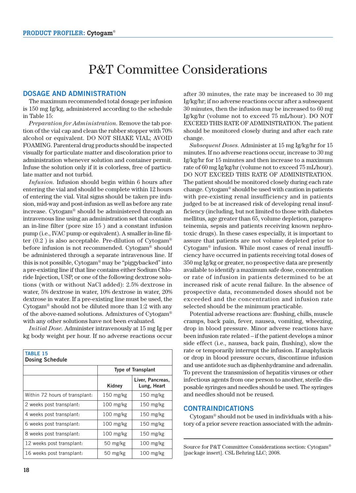# P&T Committee Considerations

#### **DOSAGE AND ADMINISTRATION**

The maximum recommended total dosage per infusion is 150 mg Ig/kg, administered according to the schedule in Table 15:

*Preparation for Administration.* Remove the tab portion of the vial cap and clean the rubber stopper with 70% alcohol or equivalent. DO NOT SHAKE VIAL; AVOID FOAMING. Parenteral drug products should be inspected visually for particulate matter and discoloration prior to administration whenever solution and container permit. Infuse the solution only if it is colorless, free of particulate matter and not turbid.

*Infusion.* Infusion should begin within 6 hours after entering the vial and should be complete within 12 hours of entering the vial. Vital signs should be taken pre infusion, mid-way and post-infusion as well as before any rate increase. Cytogam® should be administered through an intravenous line using an administration set that contains an in-line filter (pore size 15 ) and a constant infusion pump (i.e., IVAC pump or equivalent). A smaller in-line filter  $(0.2)$  is also acceptable. Pre-dilution of Cytogam® before infusion is not recommended. Cytogam® should be administered through a separate intravenous line. If this is not possible, Cytogam® may be "piggybacked" into a pre-existing line if that line contains either Sodium Chloride Injection, USP, or one of the following dextrose solutions (with or without NaCl added): 2.5% dextrose in water, 5% dextrose in water, 10% dextrose in water, 20% dextrose in water. If a pre-existing line must be used, the Cytogam® should not be diluted more than 1:2 with any of the above-named solutions. Admixtures of Cytogam® with any other solutions have not been evaluated.

*Initial Dose.* Administer intravenously at 15 mg Ig per kg body weight per hour. If no adverse reactions occur

| <b>TABLE 15</b><br><b>Dosing Schedule</b> |                           |                                 |  |  |
|-------------------------------------------|---------------------------|---------------------------------|--|--|
|                                           | <b>Type of Transplant</b> |                                 |  |  |
|                                           | Kidney                    | Liver, Pancreas,<br>Lung, Heart |  |  |
| Within 72 hours of transplant:            | $150$ mg/kg               | $150$ mg/kg                     |  |  |
| 2 weeks post transplant:                  | $100$ mg/kg               | $150$ mg/kg                     |  |  |
| 4 weeks post transplant:                  | 100 mg/kg                 | 150 mg/kg                       |  |  |
| 6 weeks post transplant:                  | $100$ mg/kg               | $150$ mg/kg                     |  |  |
| 8 weeks post transplant:                  | $100$ mg/kg               | $150$ mg/kg                     |  |  |
| 12 weeks post transplant:                 | 50 mg/kg                  | $100$ mg/kg                     |  |  |
| 16 weeks post transplant:                 | 50 mg/kg                  | $100$ mg/kg                     |  |  |

after 30 minutes, the rate may be increased to 30 mg Ig/kg/hr; if no adverse reactions occur after a subsequent 30 minutes, then the infusion may be increased to 60 mg Ig/kg/hr (volume not to exceed 75 mL/hour). DO NOT EXCEED THIS RATE OF ADMINISTRATION. The patient should be monitored closely during and after each rate change.

*Subsequent Doses.* Administer at 15 mg Ig/kg/hr for 15 minutes. If no adverse reactions occur, increase to 30 mg Ig/kg/hr for 15 minutes and then increase to a maximum rate of 60 mg Ig/kg/hr (volume not to exceed 75 mL/hour). DO NOT EXCEED THIS RATE OF ADMINISTRATION. The patient should be monitored closely during each rate change. Cytogam® should be used with caution in patients with pre-existing renal insufficiency and in patients judged to be at increased risk of developing renal insufficiency (including, but not limited to those with diabetes mellitus, age greater than 65, volume depletion, paraproteinemia, sepsis and patients receiving known nephrotoxic drugs). In these cases especially, it is important to assure that patients are not volume depleted prior to Cytogam® infusion. While most cases of renal insufficiency have occurred in patients receiving total doses of 350 mg Ig/kg or greater, no prospective data are presently available to identify a maximum safe dose, concentration or rate of infusion in patients determined to be at increased risk of acute renal failure. In the absence of prospective data, recommended doses should not be exceeded and the concentration and infusion rate selected should be the minimum practicable.

Potential adverse reactions are: flushing, chills, muscle cramps, back pain, fever, nausea, vomiting, wheezing, drop in blood pressure. Minor adverse reactions have been infusion rate related – if the patient develops a minor side effect (i.e., nausea, back pain, flushing), slow the rate or temporarily interrupt the infusion. If anaphylaxis or drop in blood pressure occurs, discontinue infusion and use antidote such as diphenhydramine and adrenalin. To prevent the transmission of hepatitis viruses or other infectious agents from one person to another, sterile disposable syringes and needles should be used. The syringes and needles should not be reused.

#### **CONTRAINDICATIONS**

Cytogam® should not be used in individuals with a history of a prior severe reaction associated with the admin-

Source for P&T Committee Considerations section: Cytogam® [package insert]. CSL Behring LLC; 2008.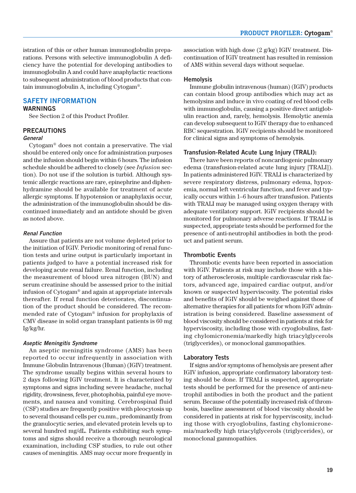istration of this or other human immunoglobulin preparations. Persons with selective immunoglobulin A deficiency have the potential for developing antibodies to immunoglobulin A and could have anaphylactic reactions to subsequent administration of blood products that contain immunoglobulin A, including Cytogam®.

# **SAFETY INFORMATION**

### **WARNINGS**

See Section 2 of this Product Profiler.

#### **PRECAUTIONS**

#### **General**

Cytogam® does not contain a preservative. The vial should be entered only once for administration purposes and the infusion should begin within 6 hours. The infusion schedule should be adhered to closely (see *Infusion* section). Do not use if the solution is turbid. Although systemic allergic reactions are rare, epinephrine and diphenhydramine should be available for treatment of acute allergic symptoms. If hypotension or anaphylaxis occur, the administration of the immunoglobulin should be discontinued immediately and an antidote should be given as noted above.

#### **Renal Function**

Assure that patients are not volume depleted prior to the initiation of IGIV. Periodic monitoring of renal function tests and urine output is particularly important in patients judged to have a potential increased risk for developing acute renal failure. Renal function, including the measurement of blood urea nitrogen (BUN) and serum creatinine should be assessed prior to the initial infusion of Cytogam® and again at appropriate intervals thereafter. If renal function deteriorates, discontinuation of the product should be considered. The recommended rate of Cytogam® infusion for prophylaxis of CMV disease in solid organ transplant patients is 60 mg Ig/kg/hr.

#### **Aseptic Meningitis Syndrome**

An aseptic meningitis syndrome (AMS) has been reported to occur infrequently in association with Immune Globulin Intravenous (Human) (IGIV) treatment. The syndrome usually begins within several hours to 2 days following IGIV treatment. It is characterized by symptoms and signs including severe headache, nuchal rigidity, drowsiness, fever, photophobia, painful eye movements, and nausea and vomiting. Cerebrospinal fluid (CSF) studies are frequently positive with pleocytosis up to several thousand cells per cu.mm., predominantly from the granulocytic series, and elevated protein levels up to several hundred mg/dL. Patients exhibiting such symptoms and signs should receive a thorough neurological examination, including CSF studies, to rule out other causes of meningitis. AMS may occur more frequently in

association with high dose (2 g/kg) IGIV treatment. Discontinuation of IGIV treatment has resulted in remission of AMS within several days without sequelae.

#### **Hemolysis**

Immune globulin intravenous (human) (IGIV) products can contain blood group antibodies which may act as hemolysins and induce in vivo coating of red blood cells with immunoglobulin, causing a positive direct antiglobulin reaction and, rarely, hemolysis. Hemolytic anemia can develop subsequent to IGIV therapy due to enhanced RBC sequestration. IGIV recipients should be monitored for clinical signs and symptoms of hemolysis.

#### **Transfusion-Related Acute Lung Injury (TRALI):**

There have been reports of noncardiogenic pulmonary edema (transfusion-related acute lung injury [TRALI]). In patients administered IGIV. TRALI is characterized by severe respiratory distress, pulmonary edema, hypoxemia, normal left ventricular function, and fever and typically occurs within 1–6 hours after transfusion. Patients with TRALI may be managed using oxygen therapy with adequate ventilatory support. IGIV recipients should be monitored for pulmonary adverse reactions. If TRALI is suspected, appropriate tests should be performed for the presence of anti-neutrophil antibodies in both the product and patient serum.

#### **Thrombotic Events**

Thrombotic events have been reported in association with IGIV. Patients at risk may include those with a history of atherosclerosis, multiple cardiovascular risk factors, advanced age, impaired cardiac output, and/or known or suspected hyperviscosity. The potential risks and benefits of IGIV should be weighed against those of alternative therapies for all patients for whom IGIV administration is being considered. Baseline assessment of blood viscosity should be considered in patients at risk for hyperviscosity, including those with cryoglobulins, fasting chylomicronemia/markedly high triacylglycerols (triglycerides), or monoclonal gammopathies.

#### **Laboratory Tests**

If signs and/or symptoms of hemolysis are present after IGIV infusion, appropriate confirmatory laboratory testing should be done. If TRALI is suspected, appropriate tests should be performed for the presence of anti-neutrophil antibodies in both the product and the patient serum. Because of the potentially increased risk of thrombosis, baseline assessment of blood viscosity should be considered in patients at risk for hyperviscosity, including those with cryoglobulins, fasting chylomicronemia/markedly high triacylglycerols (triglycerides), or monoclonal gammopathies.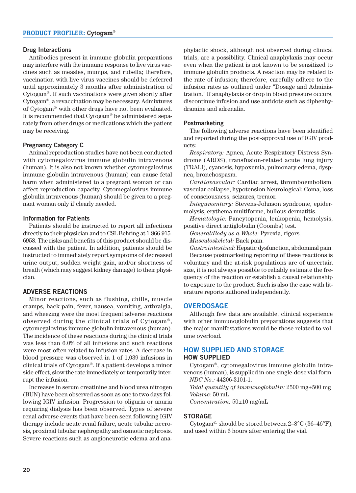#### **Drug Interactions**

Antibodies present in immune globulin preparations may interfere with the immune response to live virus vaccines such as measles, mumps, and rubella; therefore, vaccination with live virus vaccines should be deferred until approximately 3 months after administration of Cytogam®. If such vaccinations were given shortly after Cytogam®, a revaccination may be necessary. Admixtures of Cytogam® with other drugs have not been evaluated. It is recommended that Cytogam® be administered separately from other drugs or medications which the patient may be receiving.

#### **Pregnancy Category C**

Animal reproduction studies have not been conducted with cytomegalovirus immune globulin intravenous (human). It is also not known whether cytomegalovirus immune globulin intravenous (human) can cause fetal harm when administered to a pregnant woman or can affect reproduction capacity. Cytomegalovirus immune globulin intravenous (human) should be given to a pregnant woman only if clearly needed.

#### **Information for Patients**

Patients should be instructed to report all infections directly to their physician and to CSL Behring at 1-866-915- 6958. The risks and benefits of this product should be discussed with the patient. In addition, patients should be instructed to immediately report symptoms of decreased urine output, sudden weight gain, and/or shortness of breath (which may suggest kidney damage) to their physician.

#### **ADVERSE REACTIONS**

Minor reactions, such as flushing, chills, muscle cramps, back pain, fever, nausea, vomiting, arthralgia, and wheezing were the most frequent adverse reactions observed during the clinical trials of Cytogam® , cytomegalovirus immune globulin intravenous (human). The incidence of these reactions during the clinical trials was less than 6.0% of all infusions and such reactions were most often related to infusion rates. A decrease in blood pressure was observed in 1 of 1,039 infusions in clinical trials of Cytogam®. If a patient develops a minor side effect, slow the rate immediately or temporarily interrupt the infusion.

Increases in serum creatinine and blood urea nitrogen (BUN) have been observed as soon as one to two days following IGIV infusion. Progression to oliguria or anuria requiring dialysis has been observed. Types of severe renal adverse events that have been seen following IGIV therapy include acute renal failure, acute tubular necrosis, proximal tubular nephropathy and osmotic nephrosis. Severe reactions such as angioneurotic edema and anaphylactic shock, although not observed during clinical trials, are a possibility. Clinical anaphylaxis may occur even when the patient is not known to be sensitized to immune globulin products. A reaction may be related to the rate of infusion; therefore, carefully adhere to the infusion rates as outlined under "Dosage and Administration." If anaphylaxis or drop in blood pressure occurs, discontinue infusion and use antidote such as diphenhydramine and adrenalin.

#### **Postmarketing**

The following adverse reactions have been identified and reported during the post-approval use of IGIV products:

*Respiratory:* Apnea, Acute Respiratory Distress Syndrome (ARDS), transfusion-related acute lung injury (TRALI), cyanosis, hypoxemia, pulmonary edema, dyspnea, bronchospasm.

*Cardiovascular:* Cardiac arrest, thromboembolism, vascular collapse, hypotension Neurological: Coma, loss of consciousness, seizures, tremor.

*Integumentary:* Stevens-Johnson syndrome, epidermolysis, erythema multiforme, bullous dermatitis.

*Hematologic:* Pancytopenia, leukopenia, hemolysis, positive direct antiglobulin (Coombs) test.

*General/Body as a Whole:* Pyrexia, rigors.

*Musculoskeletal:* Back pain.

*Gastrointestinal:* Hepatic dysfunction, abdominal pain.

Because postmarketing reporting of these reactions is voluntary and the at-risk populations are of uncertain size, it is not always possible to reliably estimate the frequency of the reaction or establish a causal relationship to exposure to the product. Such is also the case with literature reports authored independently.

#### **OVERDOSAGE**

Although few data are available, clinical experience with other immunoglobulin preparations suggests that the major manifestations would be those related to volume overload.

#### **HOW SUPPLIED AND STORAGE HOW SUPPLIED**

Cytogam®, cytomegalovirus immune globulin intravenous (human), is supplied in one single-dose vial form. *NDC No.:* 44206-3101-1.

*Total quantity of immunoglobulin:* 2500 mg±500 mg *Volume:* 50 mL *Concentration:* 50±10 mg/mL

#### **STORAGE**

Cytogam<sup>®.</sup> should be stored between  $2-8^{\circ}$ C (36-46 $^{\circ}$ F), and used within 6 hours after entering the vial.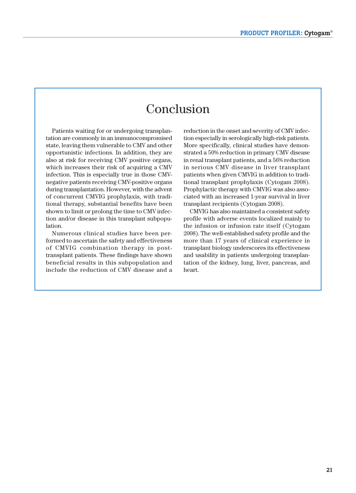# Conclusion

Patients waiting for or undergoing transplantation are commonly in an immunocompromised state, leaving them vulnerable to CMV and other opportunistic infections. In addition, they are also at risk for receiving CMV positive organs, which increases their risk of acquiring a CMV infection. This is especially true in those CMVnegative patients receiving CMV-positive organs during transplantation. However, with the advent of concurrent CMVIG prophylaxis, with traditional therapy, substantial benefits have been shown to limit or prolong the time to CMV infection and/or disease in this transplant subpopulation.

Numerous clinical studies have been performed to ascertain the safety and effectiveness of CMVIG combination therapy in post transplant patients. These findings have shown beneficial results in this subpopulation and include the reduction of CMV disease and a reduction in the onset and severity of CMV infection especially in serologically high-risk patients. More specifically, clinical studies have demonstrated a 50% reduction in primary CMV disease in renal transplant patients, and a 56% reduction in serious CMV disease in liver transplant patients when given CMVIG in addition to traditional transplant prophylaxis (Cytogam 2008). Prophylactic therapy with CMVIG was also associated with an increased 1-year survival in liver transplant recipients (Cytogam 2008).

CMVIG has also maintained a consistent safety profile with adverse events localized mainly to the infusion or infusion rate itself (Cytogam 2008). The well-established safety profile and the more than 17 years of clinical experience in transplant biology underscores its effectiveness and usability in patients undergoing transplantation of the kidney, lung, liver, pancreas, and heart.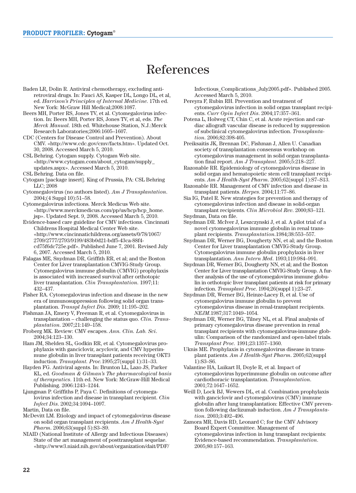# References

- Baden LR, Dolin R. Antiviral chemotherapy, excluding antiretroviral drugs. In: Fauci AS, Kasper DL, Longo DL, et al, ed. *Harrison's Principles of Internal Medicine*. 17th ed. New York: McGraw Hill Medical;2008:1087.
- Beers MH, Porter RS, Jones TV, et al. Cytomegalovirus infection. In: Beers MH, Porter RS, Jones TV, et al, eds. *The Merck Manual*. 18th ed. Whitehouse Station, N.J.:Merck Research Laboratories;2006:1605–1607.
- CDC (Centers for Disease Control and Prevention). About CMV. «http://www.cdc.gov/cmv/facts.htm». Updated Oct. 30, 2008. Accessed March 5, 2010.
- CSL Behring. Cytogam supply. Cytogam Web site. «http://www.cytogam.com/about\_cytogam/supply\_ updates.aspx». Accessed March 5, 2010.
- CSL Behring. Data on file.
- Cytogam [package insert]. King of Prussia, PA: CSL Behring LLC; 2008
- Cytomegalovirus (no authors listed). *Am J Transplantation*. 2004;(4 Suppl 10):51–58.
- Cytomegalovirus infections. Merck Medicus Web site. «http://www.merckmedicus.com/pp/us/hcp/hcp\_home. jsp». Updated Sept. 9, 2008. Accessed March 5, 2010.
- Evidence-based care guideline for CMV infections. Cincinnati Childrens Hospital Medical Center Web site. «http://www.cincinnatichildrens.org/assets/0/78/1067/ 2709/2777/2793/9199/483b0d21-bdf5-43ca-88f4 cd75f6dc725e.pdf». Published June 7, 2001. Revised July 6, 2007. Accessed March 5, 2010.
- Falagas ME, Snydman DR, Griffith RR, et al; and the Boston Center for Liver transplantation CMVIG-Study Group. Cytomegalovirus immune globulin (CMVIG) prophylaxis is associated with increased survival after orthotopic liver transplantation. *Clin Transplantation*. 1997;11: 432–437.
- Fisher RA. Cytomegalovirus infection and disease in the new era of immunosuppression following solid organ transplantation. *Transpl Infect Dis*. 2009; 11:195–202.
- Fishman JA, Emery V, Freeman R, et al. Cytomegalovirus in transplantation – challenging the status quo. *Clin. Transplantation*. 2007;21:149–158.
- Froberg MK. Review: CMV escapes. *Ann. Clin. Lab. Sci*. 2004;34:123–130.
- Ham JM, Shelden SL, Godkin RR, et al. Cytomegalovirus prophylaxis with ganciclovir, acyclovir, and CMV hyperimmune globulin in liver transplant patients receiving OKT3 induction. *Transplant. Proc.*1995;27(suppl 1):31–33.
- Hayden FG. Antiviral agents. In: Brunton LL, Lazo JS, Parker KL, ed. *Goodman & Gilman's The pharmacological basis of therapeutics*. 11th ed. New York: McGraw-Hill Medical Publishing. 2006:1243–1244.
- Ljungman P. Griffiths P, Paya C. Definitions of cytomega lovirus infection and disease in transplant recipient. *Clin Infect Dis*. 2002;34:1094–1097.
- Martin, Data on file.
- McDevitt LM. Etiology and impact of cytomegalovirus disease on solid organ transplant recipients. *Am J Health-Syst Pharm*. 2006;63(suppl 5):S3–S9.
- NIAID (National Institute of Allergy and Infectious Diseases) State of the art management of posttransplant sequelae. «http://www3.niaid.nih.gov/about/organization/dait/PDF/

Infectious\_Complications\_July2005.pdf». Published 2005. Accessed March 5, 2010.

- Pereyra F, Rubin RH. Prevention and treatment of cytomegalovirus infection in solid organ transplant recipients. *Curr Opin Infect Dis*. 2004;17:357–361.
- Potena L, Holweg CT, Chin C, et al. Acute rejection and cardiac allograft vascular disease is reduced by suppression of subclinical cytomegalovirus infection. *Transplantation*. 2006;82:398-405.
- Preiksaitis JK, Brennan DC, Fishman J, Allen U. Canadian society of transplantation consensus workshop on cytomegalovirus management in solid organ transplantation final report. *Am J Transplant*. 2005;5:218–227.
- Razonable RR. Epidemiology of cytomegalovirus disease in solid organ and hematopoietic stem cell transplant recipients. *Am J Health-Syst Pharm*. 2005;62(suppl 1):S7–S13.
- Razonable RR. Management of CMV infection and disease in transplant patients. *Herpes*. 2004;11:77–86.
- Sia IG, Patel R. New strategies for prevention and therapy of cytomegalovirus infection and disease in solid-organ transplant recipients. *Clin Microbiol Rev*. 2000;83–121. Snydman, Data on file.
- 
- Snydman DR. McIver J, Leszczynski J, et al. A pilot trial of a novel cytomegalovirus immune globulin in renal transplant recipients. *Transplantation*.1984;38:553–557.
- Snydman DR, Werner BG, Dougherty NN, et al; and the Boston Center for Liver transplantation CMVIG-Study Group. Cytomegalovirus immune globulin prophylaxis in liver transplantation. *Ann Intern Med*. 1993;119:984–991.
- Snydman DR, Werner BG, Dougherty NN, et al; and the Boston Center for Liver transplantation CMVIG-Study Group. A further analysis of the use of cytomegalovirus immune globulin in orthotopic liver transplant patients at risk for primary infection. *Transplant Proc*. 1994;26(suppl 1):23–27.
- Snydman DR, Werner BG, Heinze-Lacey B, et al. Use of cytomegalovirus immune globulin to prevent cytomegalovirus disease in renal-transplant recipients. *NEJM*.1987;317:1049–1054.
- Snydman DR, Werner BG, Tilney NL, et al. Final analysis of primary cytomegalovirus disease prevention in renal transplant recipients with cytomegalovirus-immune globulin: Comparison of the randomized and open-label trials. *Transplant Proc.* 1991;23:1357–1360.
- Uknis ME. Prophylaxis in cytomegalovirus disease in transplant patients. *Am J Health-Syst Pharm*. 2005;62(suppl 1):S3–S6.
- Valantine HA, Luikart H, Doyle R, et al. Impact of cytomegalovirus hyperimmune globulin on outcome after cardiothoracic transplantation. *Transplantation*. 2001;72:1647–1652.
- Weill D, Lock BJ, Wewers DL, et al. Combination prophylaxis with ganciclovir and cytomegalovirus (CMV) immune globulin after lung transplantation: Effective CMV prevention following daclizumab induction. *Am J Transplantation*. 2003;3:492–496.
- Zamora MR, Davis RD, Leonard C; for the CMV Advisory Board Expert Committee. Management of cytomegalovirus infection in lung transplant recipients: Evidence-based recommendation. *Transplantation*. 2005;80:157–163.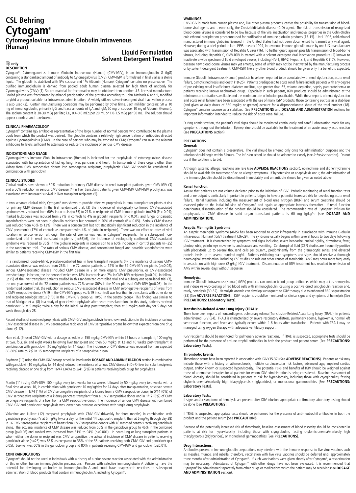# **CSL Behring**  $\mathsf{Cytogam}^\circ$ **Cytogam® Liquid Formulation (Human) Liquid Formulation Cytomegalovirus Immune Globulin Intravenous**

# **Solvent Detergent Treated Solvent Detergent Treated** -

# ${\rm E}$  only<br>DESCRIPTION

Cytogam®, Cytomegalovirus Immune Globulin Intravenous (Human) (CMV-IGIV), is an immunoglobulin G (IgG) containing a standardized amount of antibody to Cytomegalovirus (CMV). CMV-IGIV is formulated in final vial as a sterile liquid. The globulin is stabilized with 5% sucrose and 1% Albumin (Human). Cytogam® contains no preservative. The purified immunoglobulin is derived from pooled adult human plasma selected for high titers of antibody for Cytomegalovirus (CMV) (1). Source material for fractionation may be obtained from another U.S. licensed manufacturer. Pooled plasma was fractionated by ethanol precipitation of the proteins according to Cohn Methods 6 and 9, modified to yield a product suitable for intravenous administration. A widely utilized solvent-detergent viral inactivation process is also used (2). Certain manufacturing operations may be performed by other firms. Each milliliter contains:  $50 \pm 10$ mg of immunoglobulin, primarily IgG, and trace amounts of IgA and IgM; 50 mg of sucrose; 10 mg of Albumin (Human). The sodium content is 20-30 mEq per liter, i.e., 0.4-0.6 mEq per 20 mL or 1.0-1.5 mEq per 50 mL. The solution should appear colorless and translucent.

#### **CLINICAL PHARMACOLOGY**

Cytogam® contains IgG antibodies representative of the large number of normal persons who contributed to the plasma pools from which the product was derived. The globulin contains a relatively high concentration of antibodies directed<br>against Cytomegalovirus (CMV). In the case of persons who may be exposed to CMV, Cytogam® can raise the antibodies to levels sufficient to attenuate or reduce the incidence of serious CMV disease.

#### **INDICATIONS AND USAGE**

Cytomegalovirus Immune Globulin Intravenous (Human) is indicated for the prophylaxis of cytomegalovirus disease associated with transplantation of kidney, lung, liver, pancreas and heart. In transplants of these organs other than kidney from CMV seropositive donors into seronegative recipients, prophylactic CMV-IGIV should be considered in combination with ganciclovir.

#### **CLINICAL STUDIES**

Clinical studies have shown a 50% reduction in primary CMV disease in renal transplant patients given CMV-IGIV (3)<br>and a 56% reduction in serious CMV disease (4) in liver transplant patients given CMV-IGIV. CMV-IGIV prophy associated with increased survival in liver transplant recipients (5).

In two separate clinical trials, Cytogam® was shown to provide effective prophylaxis in renal transplant recipients at risk<br>for primary CMV disease. In the first randomized trial, (3) the incidence of virologically confirm syndromes was reduced from 60% in controls (n=35) to 21% in recipients of CMV immune globulin (n=24) (P < 0.01); marked leukopenia was reduced from 37% in controls to 4% in globulin recipients (P < 0.01); and fungal or parasitic superinfections were not seen in globulin recipients but occurred in 20% of controls (P = 0.05). Serious CMV disease was reduced from 46% to 13%. There was a concomitant but not statistically significant reduction in the incidence of CMV pneumonia (17% of controls as compared with 4% of globulin recipients). There was no effect on rates of viral isolation or seroconversion although the rate of viremia was less in Cytogam® recipients. In a subsequent nonrandomized trial in renal transplant recipients (n=36)(6), the incidence of virologically confirmed CMV-associated syndrome was reduced to 36% in the globulin recipients in comparison to a 60% incidence in control patients (n=35) in the randomized trial. The rates of serious CMV disease, and concomitant fungal and parasitic superinfection were similar to patients receiving CMV-IGIV in the first trial.

In a randomized, double-blind, placebo-controlled trial in liver transplant recipients (4), the incidence of serious CMVassociated disease was reduced from 26% in the 72 control patients to 12% in the 69 CMV-IGIV recipients (p=0.02); serious CMV-associated disease included CMV disease in 2 or more organs, CMV pneumonia, or CMV-associated<br>invasive fungal infection, the incidence of which was 18% in controls and 7% in CMV-IGIV recipients (p=0.04). In fol up (5) of the liver transplant patients studied in this randomized controlled trial and a subsequent open-label trial (7), the one year survival of the 72 control patients was 72% versus 86% in the 90 recipients of CMV-IGIV (p=0.03). In the<br>randomized control trial, the reduction in serious CMV-associated disease in CMV seronegative recipients a CMV seropositive donor (7/19 in the CMV-IGIV group vs. 9/19 in control) was less than in transplants with other donor and recipient serologic status (1/50 in the CMV-IGIV group vs. 10/53 in the control group). This finding was similar to that of Merigan et al. (8) in a study of ganciclovir prophylaxis after heart transplantation. In this study, patients received ganciclovir IV at 5 mg/kg twice a day for the initial 14 days post-transplant, then at 6 mg/kg each day for 5 days per week through day 28.

Recent studies of combined prophylaxis with CMV-IGIV and ganciclovir have shown reductions in the incidence of serious<br>CMV associated disease in CMV seronegative recipients of CMV seropositive organs below that expected fr alone (9-12).

Ham et al. (9) used CMV-IGIV with a dosage schedule of 150 mg/kg CMV-IGIV within 72 hours of transplant; 100 mg/kg<br>at two, four, six and eight weeks following liver transplant and then 50 mg/kg at 12 and 16 weeks post-tran 60-80% rate to 7% in 15 seronegative recipients of a seropositive organ.

Snydman (10) using the CMV-IGIV dosage schedule listed under **DOSAGE AND ADMINISTRATION** section in combination with ganciclovir (10 mg/kg/day for 14 days) reduced the incidence of serious CMV disease in D+R- liver transplant recipients<br>receiving placebo or one drug from 16/47 (34%) to 3/41 (7%) in patients receiving both drugs for

Martin (11) using CMV-IGIV 100 mg/kg every two weeks for six weeks followed by 50 mg/kg every two weeks with a final dose at week 16, in combination with ganciclovir 10 mg/kg/day for 14 days after transplantation, observed severe<br>CMV disease in 1/74 (1%) of CMV seronegative recipients of a kidney from a CMV seropositive donor, in 0 CMV seronegative recipients of a kidney-pancreas transplant from a CMV seropositive donor and in 1/12 (8%) of CMV seronegative recipients of a liver from a CMV seropositive donor. The incidence of serious CMV disease with combined CMV-IGIV and ganciclovir prophylaxis was lower than previous experience with single drug prophylaxis.

Valantine and Luikart (12) compared prophylaxis with CMV-IGIV (biweekly for three months) in combination with ganciclovir prophylaxis (IV at 5 mg/kg twice a day for the initial 14 days post-transplant, then at 6 mg/kg through day 28)<br>in 16 CMV seronegative recipients of hearts from CMV seropositive donors with 16 matched controls alone. The actuarial incidence of CMV disease was reduced from 55% in the ganciclovir group to 46% in the combined group (p≤0.06) and survival was increased from 61% to 94% (p≤0.001). In heart-lung or lung transplant patients in whom either the donor or recipient was CMV seropositive, the actuarial incidence of CMV disease in patients receiving ganciclovir alone (n=25) was 85% as compared to 36% of the 33 patients receiving both CMV-IGIV and ganciclovir (p) 0.05). Survival was 60% in the ganciclovir group and 80% in patients receiving CMV-IGIV and ganciclovir (p $\leq$ 0.01).

#### **CONTRAINDICATIONS**

Cytogam® should not be used in individuals with a history of a prior severe reaction associated with the administration of this or other human immunoglobulin preparations. Persons with selective immunoglobulin A deficiency have the potential for developing antibodies to immunoglobulin A and could have anaphylactic reactions to subsequent administration of blood products that contain immunoglobulin A, including Cytogam®.

#### **WARNINGS**

CMV-IGIV is made from human plasma and, like other plasma products, carries the possibility for transmission of bloodborne viral agents and theoretically, the Creutzfeldt-Jakob disease (CJD) agent. The risk of transmission of recognized blood-borne viruses is considered to be low because of the viral inactivation and removal properties in the Cohn-Oncley cold ethanol precipitation procedure used for purification of immune globulin products (13-15). Until 1993, cold ethanol manufactured immune globulins licensed in the United States had not been documented to transmit any viral agent. However, during a brief period in late 1993 to early 1994, intravenous immune globulin made by one U.S. manufacturer was associated with transmission of Hepatitis C virus (16). To further guard against possible transmission of blood-borne viruses, including Hepatitis C, CMV-IGIV is treated with a solvent detergent viral inactivation procedure (2) known to inactivate a wide spectrum of lipid enveloped viruses, including HIV-1, HIV-2, Hepatitis B, and Hepatitis C (17). However, because new blood-borne viruses may yet emerge, some of which may not be inactivated by the manufacturing process or by solvent detergent treatment, CMV-IGIV, like any other blood product, should be given only if a benefit is expected.

Immune Globulin Intravenous (Human) products have been reported to be associated with renal dysfunction, acute renal failure, osmotic nephrosis and death (18-25). Patients predisposed to acute renal failure include patients with any degree of pre-existing renal insufficiency, diabetes mellitus, age greater than 65, volume depletion, sepsis, paraproteinemia or patients receiving known nephrotoxic drugs. Especially in such patients, IGIV products should be administered at the minimum concentrations available and the minimum rate of infusion practicable. While these reports of renal dysfunction and acute renal failure have been associated with the use of many IGIV products, those containing sucrose as a stabilizer (and given at daily doses of 350 mg/kg or greater) account for a disproportionate share of the total number (18). Cytogam® contains sucrose as a stabilizer. See **PRECAUTIONS** and **DOSAGE AND ADMINISTRATION** sections for important information intended to reduce the risk of acute renal failure.

During administration, the patient's vital signs should be monitored continuously and careful observation made for any symptoms throughout the infusion. Epinephrine should be available for the treatment of an acute anaphylactic reaction (see **PRECAUTIONS** section).

#### **PRECAUTIONS**

#### **General:**

Cytogam® does not contain a preservative. The vial should be entered only once for administration purposes and the infusion should begin within 6 hours. The infusion schedule should be adhered to closely (see *Infusion* section). Do not use if the solution is turbid.

Although systemic allergic reactions are rare (see **ADVERSE REACTIONS** section), epinephrine and diphenhydramine should be available for treatment of acute allergic symptoms. If hypotension or anaphylaxis occur, the administration of the immunoglobulin should be discontinued immediately and an antidote should be given as noted above.

#### **Renal Function:**

Assure that patients are not volume depleted prior to the initiation of IGIV. Periodic monitoring of renal function tests and urine output is particularly important in patients judged to have a potential increased risk for developing acute renal failure. Renal function, including the measurement of blood urea nitrogen (BUN) and serum creatinine should be assessed prior to the initial infusion of Cytogam® and again at appropriate intervals thereafter. If renal function<br>deteriorates, discontinuation of the product should be considered. The recommended rate of Cytogam® infusi prophylaxis of CMV disease in solid organ transplant patients is 60 mg Ig/kg/hr (see **DOSAGE AND ADMINISTRATION**).

#### **Aseptic Meningitis Syndrome:**

An aseptic meningitis syndrome (AMS) has been reported to occur infrequently in association with Immune Globulin Intravenous (Human) (IGIV) treatment (26-29). The syndrome usually begins within several hours to two days following IGIV treatment. It is characterized by symptoms and signs including severe headache, nuchal rigidity, drowsiness, fever, photophobia, painful eye movements, and nausea and vomiting. Cerebrospinal fluid (CSF) studies are frequently positive with pleocytosis up to several thousand cells per cu.mm., predominantly from the granulocytic series, and elevated<br>protein levels up to several hundred mg/dl. Patients exhibiting such symptoms and signs should receive a t neurological examination, including CSF studies, to rule out other causes of meningitis. AMS may occur more frequently in association with high dose (2 g/kg) IGIV treatment. Discontinuation of IGIV treatment has resulted in remission of AMS within several days without sequelae.

#### **Hemolysis:**

Immune Globulin Intravenous (Human) (IGIV) products can contain blood group antibodies which may act as hemolysins and induce *in vivo* coating of red blood cells with immunoglobulin, causing a positive direct antiglobulin reaction and,<br>rarely, hemolysis (30-32). Hemolytic anemia can develop subsequent to IGIV therapy due to enhanced R (33) [See **ADVERSE REACTIONS**]. IGIV recipients should be monitored for clinical signs and symptoms of hemolysis [See **PRECAUTIONS: Laboratory Tests**].

#### **Transfusion-Related Acute Lung Injury (TRALI):**

There have been reports of noncardiogenic pulmonary edema [Transfusion-Related Acute Lung Injury (TRALI)] in patients administered IGIV (34). TRALI is characterized by severe respiratory distress, pulmonary edema, hypoxemia, normal left ventricular function, and fever and typically occurs within 1-6 hours after transfusion. Patients with TRALI may be managed using oxygen therapy with adequate ventilatory support.

IGIV recipients should be monitored for pulmonary adverse reactions. If TRALI is suspected, appropriate tests should be performed for the presence of anti-neutrophil antibodies in both the product and patient serum [See **PRECAUTIONS: Laboratory Tests**].

#### **Thrombotic Events:**

Thrombotic events have been reported in association with IGIV (35-37) (See **ADVERSE REACTIONS**). Patients at risk may<br>include those with a history of atherosclerosis, multiple cardiovascular risk factors, advanced age, imp output, and/or known or suspected hyperviscosity. The potential risks and benefits of IGIV should be weighed against those of alternative therapies for all patients for whom IGIV administration is being considered. Baseline assessment of blood viscosity should be considered in patients at risk for hyperviscosity, including those with cryoglobulins, fasting<br>chylomicronemia/markedly high triacylglycerols (triglycerides), or monoclonal gammopathies [See **PREC Laboratory Tests**].

#### **Laboratory Tests:**

If signs and/or symptoms of hemolysis are present after IGIV infusion, appropriate confirmatory laboratory testing should be done [See **PRECAUTIONS**].

If TRALI is suspected, appropriate tests should be performed for the presence of anti-neutrophil antibodies in both the product and the patient serum [See **PRECAUTIONS**].

Because of the potentially increased risk of thrombosis, baseline assessment of blood viscosity should be considered in patients at risk for hyperviscosity, including those with cryoglobulins, fasting chylomicronemia/markedly high triacylglycerols (triglycerides), or monoclonal gammopathies [See **PRECAUTIONS**].

#### **Drug Interactions:**

Antibodies present in immune globulin preparations may interfere with the immune response to live virus vaccines such as measles, mumps, and rubella; therefore, vaccination with live virus vaccines should be deferred until approximately three months after administration of Cytogam®. If such vaccinations were given shortly after Cytogam®, a revaccination may be necessary. Admixtures of Cytogam® with other drugs have not been evaluated. It is recommended that Cytogam® be administered separately from other drugs or medications which the patient may be receiving (see **DOSAGE AND ADMINISTRATION** section).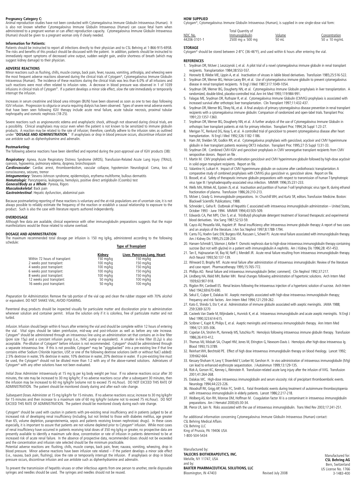#### **Pregnancy Category C:**

Animal reproduction studies have not been conducted with Cytomegalovirus Immune Globulin Intravenous (Human). It is also not known whether Cytomegalovirus Immune Globulin Intravenous (Human) can cause fetal harm when administered to a pregnant woman or can affect reproduction capacity. Cytomegalovirus Immune Globulin Intravenous (Human) should be given to a pregnant woman only if clearly needed.

#### **Information for Patients:**

Patients should be instructed to report all infections directly to their physician and to CSL Behring at 1-866-915-6958.<br>The risks and benefits of this product should be discussed with the patient. In addition, patients sh immediately report symptoms of decreased urine output, sudden weight gain, and/or shortness of breath (which may suggest kidney damage) to their physician.

#### **ADVERSE REACTIONS**

Minor reactions such as flushing, chills, muscle cramps, back pain, fever, nausea, vomiting, arthralgia, and wheezing were the most frequent adverse reactions observed during the clinical trials of Cytogam®, Cytomegalovirus Immune Globulin<br>Intravenous (Human). The incidence of these reactions during the clinical trials was less than 6.0% of al such reactions were most often related to infusion rates. A decrease in blood pressure was observed in 1 of 1039<br>infusions in clinical trials of Cytogam®. If a patient develops a minor side effect, *slow the rate* immedia interrupt the infusion.

Increases in serum creatinine and blood urea nitrogen (BUN) have been observed as soon as one to two days following<br>IGIV infusion. Progression to oliguria or anuria requiring dialysis has been observed. Types of severe ren nephropathy and osmotic nephrosis (18-25).

Severe reactions such as angioneurotic edema and anaphylactic shock, although not observed during clinical trials, are<br>a possibility. Clinical anaphylaxis may occur even when the patient is not known to be sensitized to im under "**DOSAGE AND ADMINISTRATION**." If anaphylaxis or drop in blood pressure occurs, *discontinue infusion* and<br>use antidote such as diphenhydramine and adrenalin.

**Postmarketing:** The following adverse reactions have been identified and reported during the post-approval use of IGIV products (38):

*Respiratory:* Apnea, Acute Respiratory Distress Syndrome (ARDS), Transfusion-Related Acute Lung Injury (TRALI),<br>cyanosis, hypoxemia, pulmonary edema, dyspnea, bronchospasm<br>*Cardiovascular*: Cardiac arrest, thromboembolism

consciousness, seizures, tremor **Integumentary**: Stevens-Johnson syndrome, epidermolysis, erythema multiforme, bullous dermatitis

**Hematologic**: Pancytopenia, leukopenia, hemolysis, positive direct antiglobulin (Coombs) test

**General/Body as a Whole**: Pyrexia, Rigors **Musculoskeletal**: Back pain

**Gastrointestinal**: Hepatic dysfunction, abdominal pain

Because postmarketing reporting of these reactions is voluntary and the at-risk populations are of uncertain size, it is not always possible to reliably estimate the frequency of the reaction or establish a causal relationship to exposure to the product. Such is also the case with literature reports authored independently.

#### **OVERDOSAGE**

Although few data are available, clinical experience with other immunoglobulin preparations suggests that the major manifestations would be those related to volume overload.

#### **DOSAGE AND ADMINISTRATION**

The maximum recommended total dosage per infusion is 150 mg Ig/kg, administered according to the following schedule: **Type of Transplant**

| Kidney                | Liver, Pancreas, Lung, Heart |
|-----------------------|------------------------------|
| 150 mg/kg             | $150 \text{ mg/kg}$          |
| $100$ mg/kg           | 150 mg/kg                    |
| $100 \; \text{mq/kg}$ | $150 \text{ mg/kg}$          |
| $100 \; \text{mq/kg}$ | $150 \text{ mg/kg}$          |
| $100$ mg/kg           | 150 mg/kg                    |
| 50 mg/kg              | $100 \text{ mg/kg}$          |
| 50 mg/kg              | $100$ mg/kg                  |
|                       |                              |

Preparation for Administration. Remove the tab portion of the vial cap and clean the rubber stopper with 70% alcohol or equivalent. DO NOT SHAKE VIAL; AVOID FOAMING.

Parenteral drug products should be inspected visually for particulate matter and discoloration prior to administration whenever solution and container permit. Infuse the solution only if it is colorless, free of particulate matter and not turbid.

*Infusion.* Infusion should begin within 6 hours after entering the vial and should be complete within 12 hours of entering<br>the vial. Vital signs should be taken preinfusion, mid-way and post-infusion as well as before any Cytogam® should be administered through an intravenous line using an administration set that contains an in-line filter (pore size 15µ) and a constant infusion pump (i.e., IVAC pump or equivalent). A smaller in-line filter (0.2µ) is also<br>acceptable. Pre-dilution of Cytogam® before infusion is not recommended. Cytogam® should be administe a separate intravenous line. If this is not possible, Cytogam® may be "piggybacked" into a pre-existing line if that line<br>contains either Sodium Chloride Injection, USP, or one of the following dextrose solutions (with or 2.5% dextrose in water, 5% dextrose in water, 10% dextrose in water, 20% dextrose in water. If a pre-existing line must be used, the Cytogam® should not be diluted more than 1:2 with any of the above-named solutions. Admixtures of Cytogam® with any other solutions have not been evaluated.

Initial Dose. Administer intravenously at 15 mg Ig per kg body weight per hour. If no adverse reactions occur after 30 minutes, the rate may be increased to 30 mg Ig/kg/hr; if no adverse reactions occur after a subsequent 30 minutes, then the infusion may be increased to 60 mg Ig/kg/hr (volume not to exceed 75 mL/hour). DO NOT EXCEED THIS RATE OF<br>ADMINISTRATION. The patient should be monitored closely during and after each rate change.

*Subsequent Doses.* Administer at 15 mg Ig/kg/hr for 15 minutes. If no adverse reactions occur, increase to 30 mg Ig/kg/hr<br>for 15 minutes and then increase to a maximum rate of 60 mg Ig/kg/hr (volume not to exceed 75 mL/ho EXCEED THIS RATE OF ADMINISTRATION. The patient should be monitored closely during each rate change.

Cytogam® should be used with caution in patients with pre-existing renal insufficiency and in patients judged to be at increased risk of developing renal insufficiency (including, but not limited to those with diabetes mellitus, age greater<br>than 65, volume depletion, paraproteinemia, sepsis and patients receiving known nephrotoxic drugs). especially, it is important to assure that patients are not volume depleted prior to Cytogam® infusion. While most cases of renal insufficiency have occurred in patients receiving total doses of 350 mg Ig/kg or greater, no prospective data are<br>presently available to identify a maximum safe dose, concentration or rate of infusion in patients increased risk of acute renal failure. In the absence of prospective data, recommended doses should not be exceeded and the concentration and infusion rate selected should be the minimum practicable.

Potential adverse reactions are: flushing, chills, muscle cramps, back pain, fever, nausea, vomiting, wheezing, drop in blood pressure. Minor adverse reactions have been infusion rate related — if the patient develops a minor side effect<br>(i.e., nausea, back pain, flushing), slow the rate or temporarily interrupt the infusion. If anaphylax pressure occurs, discontinue infusion and use antidote such as diphenhydramine and adrenalin.

To prevent the transmission of hepatitis viruses or other infectious agents from one person to another, sterile disposable syringes and needles should be used. The syringes and needles should not be reused.

#### **HOW SUPPLIED**

Cytogam®, Cytomegalovirus Immune Globulin Intravenous (Human), is supplied in one single-dose vial form:

|              | Total Quantity of                    |        |                   |  |
|--------------|--------------------------------------|--------|-------------------|--|
| NDC No.      | Immunoglobulin                       | Volume | Concentration     |  |
| 44206-3101-1 | $2500 \text{ ma} \pm 500 \text{ ma}$ | 50 mL  | $50 \pm 10$ ma/mL |  |

#### **STORAGE**

Cytogam® should be stored between 2-8°C (36-46°F), and used within 6 hours after entering the vial.

#### **REFERENCES**

- 1. Snydman DR, McIver J, Leszczynski J, et al. A pilot trial of a novel cytomegalovirus immune globulin in renal transplant recipients. Transplantation 1984;38:553-557.
- 2. Horowitz B, Wiebe ME, Lippin A, et al. Inactivation of viruses in labile blood derivatives. Transfusion 1985;25:516-522. 3. Snydman DR, Werner BG, Heinze-Lacey BH, et al. Use of cytomegalovirus immune globulin to prevent cytomegalovirus disease in renal transplant recipients. N Engl J Med 1987;317:1049-1054.
- 4. Snydman DR, Werner BG, Dougherty NN, et al. Cytomegalovirus Immune Globulin prophylaxis in liver transplantation. A randomized, double-blind, placebo-controlled trial. Ann Int Med 1993;119:984-991.
- 5. Falagas ME, Snydman DR, Ruthazer R, et al. Cytomegalovirus Immune Globulin (CMVIG) prophylaxis is associated with increased survival after orthotopic liver transplantation. Clin Transplant 1997;11:432-437.
- 6. Snydman DR,Werner BG,Tilney NL, et al. A final analysis of primary cytomegalovirus disease prevention in renal transplant recipients with a cytomegalovirus immune globulin: Comparison of randomized and open-label trials. Transplant Proc 1991;23:1357-1360.
- 7. Snydman DR, Werner BG, Dougherty NN, et al. A further analysis of the use of Cytomegalovirus Immune Globulin in orthotopic liver transplant patients at risk for primary infection. Transplant Proc 1994;26 Suppl 1:23-27.
- 8. Merigan TC, Renlund DG, Keay S, et al. A controlled trial of ganciclovir to prevent cytomegalovirus disease after heart transplantation. N Engl J Med 1992;326:1182-1186.
- 9. Ham JM, Shelden SR, Godkin RR, et al. Cytomegalovirus prophylaxis with ganciclovir, acyclovir and CMV hyperimmune globulin in liver transplant patients receiving OKT3 induction. Transplant Proc 1995;27 (5 Suppl 1):31-33. 10. Snydman DR. Combined CMV-IGIV and ganciclovir prophylaxis in CMV seronegative transplant recipients from CMV
- seropositive donors. Report on file .
- 11. Martin M. CMV prophylaxis with combination ganciclovir and CMV hyperimmune globulin followed by high-dose acyclovir in solid organ transplant recipients. Report on file.
- 12. Valantine H, Luikart H. Impact of CMV hyperimmune globulin on outcome after cardiothoracic transplantation: A comparative study of combined prophylaxis with CMVIG plus ganciclovir vs. ganciclovir alone. Report on file.
- 13. Bossell, et al. Safety of therapeutic immune globulin preparations with respect to transmission of human T-lymphotropic virus type III / lymphadenopathy-associated virus infection. MMWR 1996;35:231-233.
- 14. Wells MA,Wittek AE, Epstein JS, et al. Inactivation and partition of human T-cell lymphotropic virus type III, during ethanol fractionation of plasma. Transfusion 1986;26:210-213.
- 15. McIver J, Grady G. Immunoglobulin preparations. In: Churchill WH, and Kurtz SR, editors. Transfusion Medicine. Boston: Blackwell Scientific Publications; 1988.
- 16. Schneider L, Geha R. Outbreak of Hepatitis C associated with intravenous immunoglobulin administration United States, October 1993 - June 1994. MMWR 1994;43:505-509.
- 17. Edwards CA, Piet MPJ, Chin S, et al. Tri(nButyl) phosphate detergent treatment of licensed therapeutic and experimental blood derivatives. Vox Sang 1987;52:53-59.
- 18. Cayco AV, Perazella MA, Hayslett JP. Renal insufficiency after intravenous immune globulin therapy: A report of two cases and an analysis of the literature. J Am Soc Nephrol 1997;8:1788-1794.
- 19. Cantu TG, Hoehn-Saric EW, Burgess KM, Racusen L, Scheel PJ. Acute renal failure associated with immunoglobulin therapy. Am J Kidney Dis 1995;25:228-234.
- 20. Hansen-Schmidt S, Silomon J, Keller F. Osmotic nephrosis due to high-dose intravenous immunoglobulin therapy containing sucrose (but not with glycine) in a patient with immunoglobulin A nephritis. Am J Kidney Dis 1996;28: 451-453.
- 21. Tan E, Hajinazarian M, Bay W, Neff J, Mendell JR. Acute renal failure resulting from intravenous immunoglobulin therapy. Arch Neurol 1993;50:137-139.
- 22. Winward D, Brophy MT. Acute renal failure after administration of intravenous immunoglobulin: Review of the literature and case report. Pharmacotherapy 1995;15:765-772. 23. Phillips AO. Renal failure and intravenous immunoglobulin [letter; comment]. Clin Nephrol 1992;37:217.
- 
- 24. Lindberg HA, Wald MH, Barker MH. Renal changes following administration of hypertonic solutions. Arch Intern Med 1939;63:907-918.
- 25. Rigdon RH, Cardwell ES. Renal lesions following the intravenous injection of a hypertonic solution of sucrose. Arch Intern Med 1942;69:670-690.
- 26. Sekul E, Culper E, Dalakas M. Aseptic meningitis associated with high-dose intravenous immunoglobulin therapy; Frequency and risk factors. Ann Intern Med 1994;121:259-262.
- 27. Kato E, Shindo S, Eto Y, et al. Administration of immune globulin associated with aseptic meningitis. JAMA 1988; 259:3269-3270
- 28. Casteels Van Daele M, Wijindaele L, Hunnick K, et al. Intravenous immunoglobulin and acute aseptic meningitis. N Engl J Med 1990;323:614-615.
- 29. Scribner C, Kapit R, Philips E, et al. Aseptic meningitis and intravenous immunoglobulin therapy. Ann Intern Med 1994;121:305-306.
- 30. Copelan EA, Strohm PL, Kennedy MS, Tutschka PJ. Hemolysis following intravenous immune globulin therapy. Transfusion 1986;26:410-412.
- 31. Thomas MJ, Misbah SA, Chapel HM, Jones M, Elrington G, Newsom-Davis J. Hemolysis after high-dose intravenous Ig. Blood 1993;15:3789.
- 32. Reinhart WH, Berchtold PE. Effect of high dose intravenous immunoglobulin therapy on blood rheology. Lancet 1992; 339:662-664.
- 33. Kessary-Shoham H, Levy Y, Shoenfeld Y, Lorber M, Gershon H. In vivo administration of intravenous immunoglobulin (IVIg) can lead to enhanced erythrocyte sequestration. J Autoimmun 1999;13:129-135.
- 34. Rizk A, Gorson KC, Kenney L, Weinstein R. Transfusion-related acute lung injury after the infusion of IVIG. Transfusion 2001;41:264-268.
- 35. Dalakas MC. High-dose intravenous immunoglobulin and serum viscosity: risk of precipitant thromboembolic events. Neurology 1994;44:223-226.
- 36. Woodruff RK, Grigg AP, Firkin FC, Smith IL. Fatal thrombotic events during treatment of autoimmune thrombocytopenia with intravenous immunoglobulin in elderly patients. Lancet 1986;2:217-218.
- 37. Wolberg AS, Kon RH, Monroe DM, Hoffman M. Coagulation factor XI is a contaminant in intravenous immunoglobulin preparations. Am J Hematol 2000;65:30-34.
- 38. Pierce LR, Jain N. Risks associated with the use of intravenous immunoglobulin. Trans Med Rev 2003;17:241-251.

For additional information concerning Cytomegalovirus Immune Globulin Intravenous (Human) contact: CSL Behring Medical Affairs

CSL Behring LLC

King of Prussia, PA 19406 USA 1-800-504-5434

Manufactured by: **TALECRIS BIOTHERAPEUTICS, INC.** Melville, NY 11747, USA and by: **BAXTER PHARMACEUTICAL SOLUTIONS, LLC**  Bloomington, IN 47403 Revised July 2008

Manufactured for: **CSL Behring AG** Bern, Switzerland US License No. 1766 3-1483-400